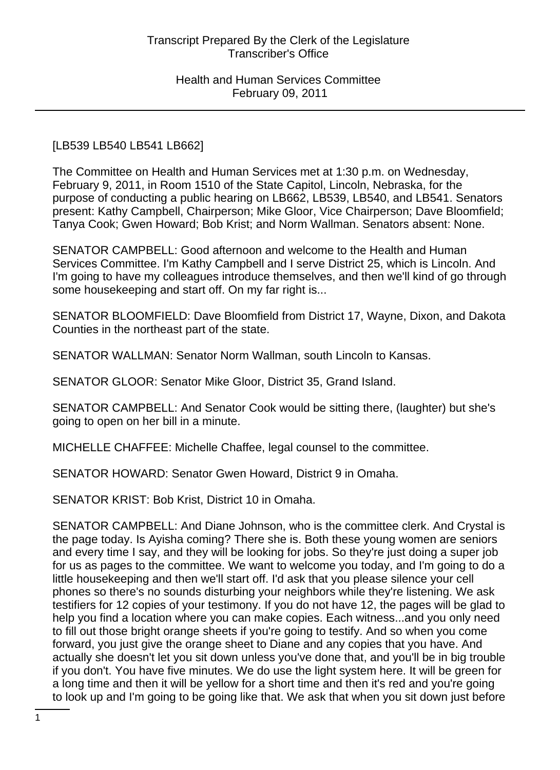# [LB539 LB540 LB541 LB662]

The Committee on Health and Human Services met at 1:30 p.m. on Wednesday, February 9, 2011, in Room 1510 of the State Capitol, Lincoln, Nebraska, for the purpose of conducting a public hearing on LB662, LB539, LB540, and LB541. Senators present: Kathy Campbell, Chairperson; Mike Gloor, Vice Chairperson; Dave Bloomfield; Tanya Cook; Gwen Howard; Bob Krist; and Norm Wallman. Senators absent: None.

SENATOR CAMPBELL: Good afternoon and welcome to the Health and Human Services Committee. I'm Kathy Campbell and I serve District 25, which is Lincoln. And I'm going to have my colleagues introduce themselves, and then we'll kind of go through some housekeeping and start off. On my far right is...

SENATOR BLOOMFIELD: Dave Bloomfield from District 17, Wayne, Dixon, and Dakota Counties in the northeast part of the state.

SENATOR WALLMAN: Senator Norm Wallman, south Lincoln to Kansas.

SENATOR GLOOR: Senator Mike Gloor, District 35, Grand Island.

SENATOR CAMPBELL: And Senator Cook would be sitting there, (laughter) but she's going to open on her bill in a minute.

MICHELLE CHAFFEE: Michelle Chaffee, legal counsel to the committee.

SENATOR HOWARD: Senator Gwen Howard, District 9 in Omaha.

SENATOR KRIST: Bob Krist, District 10 in Omaha.

SENATOR CAMPBELL: And Diane Johnson, who is the committee clerk. And Crystal is the page today. Is Ayisha coming? There she is. Both these young women are seniors and every time I say, and they will be looking for jobs. So they're just doing a super job for us as pages to the committee. We want to welcome you today, and I'm going to do a little housekeeping and then we'll start off. I'd ask that you please silence your cell phones so there's no sounds disturbing your neighbors while they're listening. We ask testifiers for 12 copies of your testimony. If you do not have 12, the pages will be glad to help you find a location where you can make copies. Each witness...and you only need to fill out those bright orange sheets if you're going to testify. And so when you come forward, you just give the orange sheet to Diane and any copies that you have. And actually she doesn't let you sit down unless you've done that, and you'll be in big trouble if you don't. You have five minutes. We do use the light system here. It will be green for a long time and then it will be yellow for a short time and then it's red and you're going to look up and I'm going to be going like that. We ask that when you sit down just before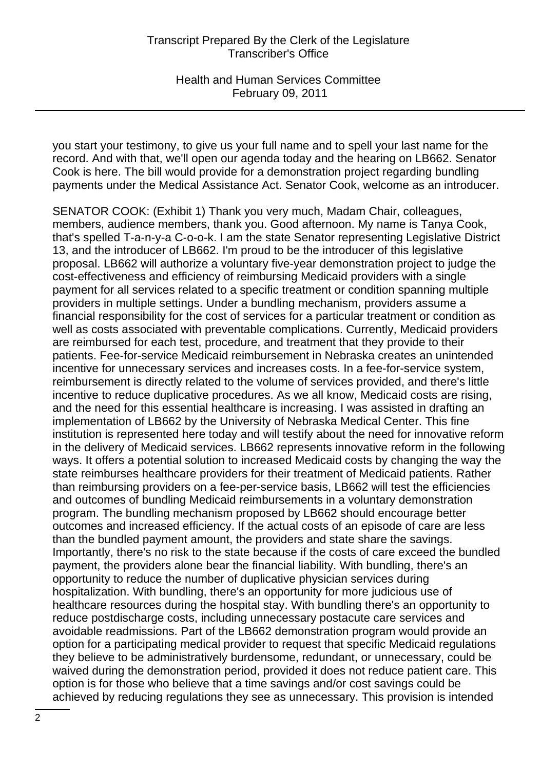Health and Human Services Committee February 09, 2011

you start your testimony, to give us your full name and to spell your last name for the record. And with that, we'll open our agenda today and the hearing on LB662. Senator Cook is here. The bill would provide for a demonstration project regarding bundling payments under the Medical Assistance Act. Senator Cook, welcome as an introducer.

SENATOR COOK: (Exhibit 1) Thank you very much, Madam Chair, colleagues, members, audience members, thank you. Good afternoon. My name is Tanya Cook, that's spelled T-a-n-y-a C-o-o-k. I am the state Senator representing Legislative District 13, and the introducer of LB662. I'm proud to be the introducer of this legislative proposal. LB662 will authorize a voluntary five-year demonstration project to judge the cost-effectiveness and efficiency of reimbursing Medicaid providers with a single payment for all services related to a specific treatment or condition spanning multiple providers in multiple settings. Under a bundling mechanism, providers assume a financial responsibility for the cost of services for a particular treatment or condition as well as costs associated with preventable complications. Currently, Medicaid providers are reimbursed for each test, procedure, and treatment that they provide to their patients. Fee-for-service Medicaid reimbursement in Nebraska creates an unintended incentive for unnecessary services and increases costs. In a fee-for-service system, reimbursement is directly related to the volume of services provided, and there's little incentive to reduce duplicative procedures. As we all know, Medicaid costs are rising, and the need for this essential healthcare is increasing. I was assisted in drafting an implementation of LB662 by the University of Nebraska Medical Center. This fine institution is represented here today and will testify about the need for innovative reform in the delivery of Medicaid services. LB662 represents innovative reform in the following ways. It offers a potential solution to increased Medicaid costs by changing the way the state reimburses healthcare providers for their treatment of Medicaid patients. Rather than reimbursing providers on a fee-per-service basis, LB662 will test the efficiencies and outcomes of bundling Medicaid reimbursements in a voluntary demonstration program. The bundling mechanism proposed by LB662 should encourage better outcomes and increased efficiency. If the actual costs of an episode of care are less than the bundled payment amount, the providers and state share the savings. Importantly, there's no risk to the state because if the costs of care exceed the bundled payment, the providers alone bear the financial liability. With bundling, there's an opportunity to reduce the number of duplicative physician services during hospitalization. With bundling, there's an opportunity for more judicious use of healthcare resources during the hospital stay. With bundling there's an opportunity to reduce postdischarge costs, including unnecessary postacute care services and avoidable readmissions. Part of the LB662 demonstration program would provide an option for a participating medical provider to request that specific Medicaid regulations they believe to be administratively burdensome, redundant, or unnecessary, could be waived during the demonstration period, provided it does not reduce patient care. This option is for those who believe that a time savings and/or cost savings could be achieved by reducing regulations they see as unnecessary. This provision is intended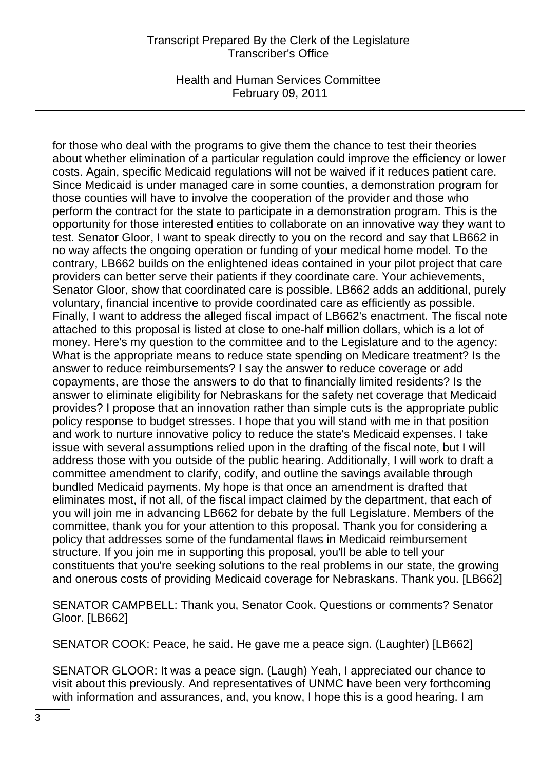Health and Human Services Committee February 09, 2011

for those who deal with the programs to give them the chance to test their theories about whether elimination of a particular regulation could improve the efficiency or lower costs. Again, specific Medicaid regulations will not be waived if it reduces patient care. Since Medicaid is under managed care in some counties, a demonstration program for those counties will have to involve the cooperation of the provider and those who perform the contract for the state to participate in a demonstration program. This is the opportunity for those interested entities to collaborate on an innovative way they want to test. Senator Gloor, I want to speak directly to you on the record and say that LB662 in no way affects the ongoing operation or funding of your medical home model. To the contrary, LB662 builds on the enlightened ideas contained in your pilot project that care providers can better serve their patients if they coordinate care. Your achievements, Senator Gloor, show that coordinated care is possible. LB662 adds an additional, purely voluntary, financial incentive to provide coordinated care as efficiently as possible. Finally, I want to address the alleged fiscal impact of LB662's enactment. The fiscal note attached to this proposal is listed at close to one-half million dollars, which is a lot of money. Here's my question to the committee and to the Legislature and to the agency: What is the appropriate means to reduce state spending on Medicare treatment? Is the answer to reduce reimbursements? I say the answer to reduce coverage or add copayments, are those the answers to do that to financially limited residents? Is the answer to eliminate eligibility for Nebraskans for the safety net coverage that Medicaid provides? I propose that an innovation rather than simple cuts is the appropriate public policy response to budget stresses. I hope that you will stand with me in that position and work to nurture innovative policy to reduce the state's Medicaid expenses. I take issue with several assumptions relied upon in the drafting of the fiscal note, but I will address those with you outside of the public hearing. Additionally, I will work to draft a committee amendment to clarify, codify, and outline the savings available through bundled Medicaid payments. My hope is that once an amendment is drafted that eliminates most, if not all, of the fiscal impact claimed by the department, that each of you will join me in advancing LB662 for debate by the full Legislature. Members of the committee, thank you for your attention to this proposal. Thank you for considering a policy that addresses some of the fundamental flaws in Medicaid reimbursement structure. If you join me in supporting this proposal, you'll be able to tell your constituents that you're seeking solutions to the real problems in our state, the growing and onerous costs of providing Medicaid coverage for Nebraskans. Thank you. [LB662]

SENATOR CAMPBELL: Thank you, Senator Cook. Questions or comments? Senator Gloor. [LB662]

SENATOR COOK: Peace, he said. He gave me a peace sign. (Laughter) [LB662]

SENATOR GLOOR: It was a peace sign. (Laugh) Yeah, I appreciated our chance to visit about this previously. And representatives of UNMC have been very forthcoming with information and assurances, and, you know, I hope this is a good hearing. I am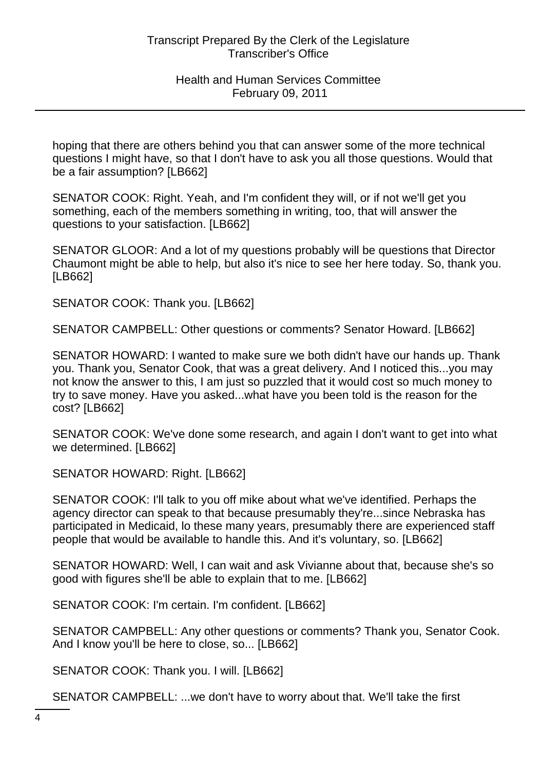hoping that there are others behind you that can answer some of the more technical questions I might have, so that I don't have to ask you all those questions. Would that be a fair assumption? [LB662]

SENATOR COOK: Right. Yeah, and I'm confident they will, or if not we'll get you something, each of the members something in writing, too, that will answer the questions to your satisfaction. [LB662]

SENATOR GLOOR: And a lot of my questions probably will be questions that Director Chaumont might be able to help, but also it's nice to see her here today. So, thank you. [LB662]

SENATOR COOK: Thank you. [LB662]

SENATOR CAMPBELL: Other questions or comments? Senator Howard. [LB662]

SENATOR HOWARD: I wanted to make sure we both didn't have our hands up. Thank you. Thank you, Senator Cook, that was a great delivery. And I noticed this...you may not know the answer to this, I am just so puzzled that it would cost so much money to try to save money. Have you asked...what have you been told is the reason for the cost? [LB662]

SENATOR COOK: We've done some research, and again I don't want to get into what we determined. [LB662]

SENATOR HOWARD: Right. [LB662]

SENATOR COOK: I'll talk to you off mike about what we've identified. Perhaps the agency director can speak to that because presumably they're...since Nebraska has participated in Medicaid, lo these many years, presumably there are experienced staff people that would be available to handle this. And it's voluntary, so. [LB662]

SENATOR HOWARD: Well, I can wait and ask Vivianne about that, because she's so good with figures she'll be able to explain that to me. [LB662]

SENATOR COOK: I'm certain. I'm confident. [LB662]

SENATOR CAMPBELL: Any other questions or comments? Thank you, Senator Cook. And I know you'll be here to close, so... [LB662]

SENATOR COOK: Thank you. I will. [LB662]

SENATOR CAMPBELL: ...we don't have to worry about that. We'll take the first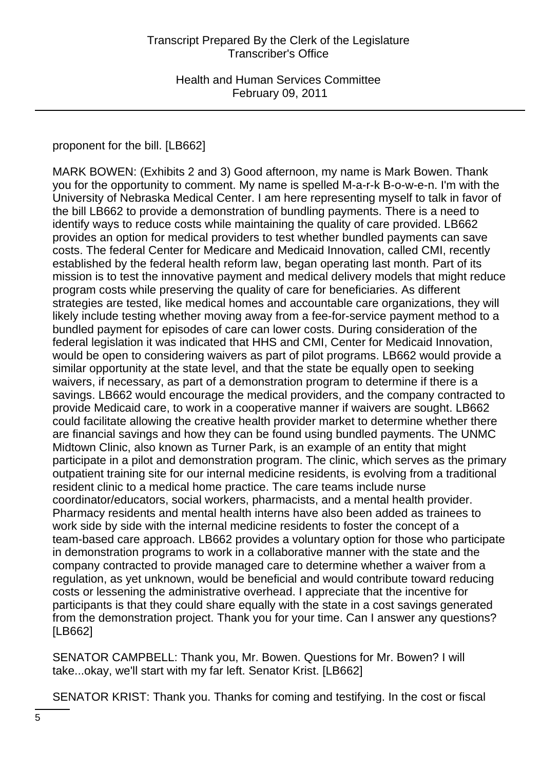# proponent for the bill. [LB662]

MARK BOWEN: (Exhibits 2 and 3) Good afternoon, my name is Mark Bowen. Thank you for the opportunity to comment. My name is spelled M-a-r-k B-o-w-e-n. I'm with the University of Nebraska Medical Center. I am here representing myself to talk in favor of the bill LB662 to provide a demonstration of bundling payments. There is a need to identify ways to reduce costs while maintaining the quality of care provided. LB662 provides an option for medical providers to test whether bundled payments can save costs. The federal Center for Medicare and Medicaid Innovation, called CMI, recently established by the federal health reform law, began operating last month. Part of its mission is to test the innovative payment and medical delivery models that might reduce program costs while preserving the quality of care for beneficiaries. As different strategies are tested, like medical homes and accountable care organizations, they will likely include testing whether moving away from a fee-for-service payment method to a bundled payment for episodes of care can lower costs. During consideration of the federal legislation it was indicated that HHS and CMI, Center for Medicaid Innovation, would be open to considering waivers as part of pilot programs. LB662 would provide a similar opportunity at the state level, and that the state be equally open to seeking waivers, if necessary, as part of a demonstration program to determine if there is a savings. LB662 would encourage the medical providers, and the company contracted to provide Medicaid care, to work in a cooperative manner if waivers are sought. LB662 could facilitate allowing the creative health provider market to determine whether there are financial savings and how they can be found using bundled payments. The UNMC Midtown Clinic, also known as Turner Park, is an example of an entity that might participate in a pilot and demonstration program. The clinic, which serves as the primary outpatient training site for our internal medicine residents, is evolving from a traditional resident clinic to a medical home practice. The care teams include nurse coordinator/educators, social workers, pharmacists, and a mental health provider. Pharmacy residents and mental health interns have also been added as trainees to work side by side with the internal medicine residents to foster the concept of a team-based care approach. LB662 provides a voluntary option for those who participate in demonstration programs to work in a collaborative manner with the state and the company contracted to provide managed care to determine whether a waiver from a regulation, as yet unknown, would be beneficial and would contribute toward reducing costs or lessening the administrative overhead. I appreciate that the incentive for participants is that they could share equally with the state in a cost savings generated from the demonstration project. Thank you for your time. Can I answer any questions? [LB662]

SENATOR CAMPBELL: Thank you, Mr. Bowen. Questions for Mr. Bowen? I will take...okay, we'll start with my far left. Senator Krist. [LB662]

SENATOR KRIST: Thank you. Thanks for coming and testifying. In the cost or fiscal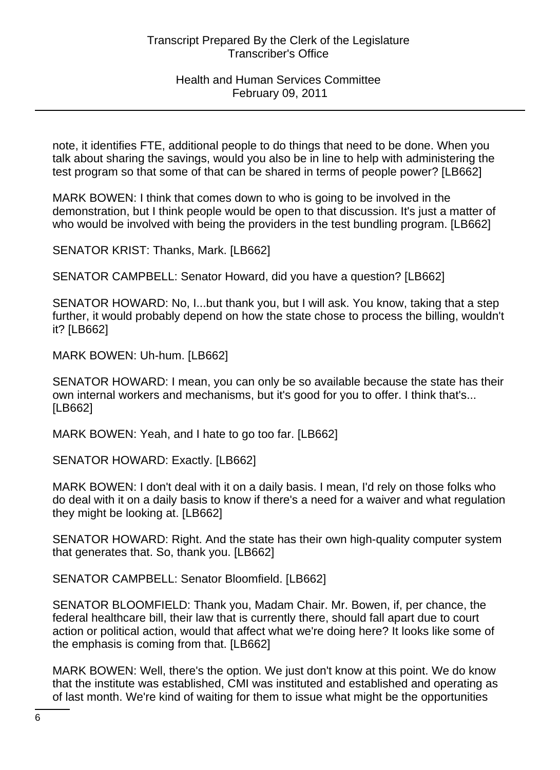note, it identifies FTE, additional people to do things that need to be done. When you talk about sharing the savings, would you also be in line to help with administering the test program so that some of that can be shared in terms of people power? [LB662]

MARK BOWEN: I think that comes down to who is going to be involved in the demonstration, but I think people would be open to that discussion. It's just a matter of who would be involved with being the providers in the test bundling program. [LB662]

SENATOR KRIST: Thanks, Mark. [LB662]

SENATOR CAMPBELL: Senator Howard, did you have a question? [LB662]

SENATOR HOWARD: No, I...but thank you, but I will ask. You know, taking that a step further, it would probably depend on how the state chose to process the billing, wouldn't it? [LB662]

MARK BOWEN: Uh-hum. [LB662]

SENATOR HOWARD: I mean, you can only be so available because the state has their own internal workers and mechanisms, but it's good for you to offer. I think that's... [LB662]

MARK BOWEN: Yeah, and I hate to go too far. [LB662]

SENATOR HOWARD: Exactly. [LB662]

MARK BOWEN: I don't deal with it on a daily basis. I mean, I'd rely on those folks who do deal with it on a daily basis to know if there's a need for a waiver and what regulation they might be looking at. [LB662]

SENATOR HOWARD: Right. And the state has their own high-quality computer system that generates that. So, thank you. [LB662]

SENATOR CAMPBELL: Senator Bloomfield. [LB662]

SENATOR BLOOMFIELD: Thank you, Madam Chair. Mr. Bowen, if, per chance, the federal healthcare bill, their law that is currently there, should fall apart due to court action or political action, would that affect what we're doing here? It looks like some of the emphasis is coming from that. [LB662]

MARK BOWEN: Well, there's the option. We just don't know at this point. We do know that the institute was established, CMI was instituted and established and operating as of last month. We're kind of waiting for them to issue what might be the opportunities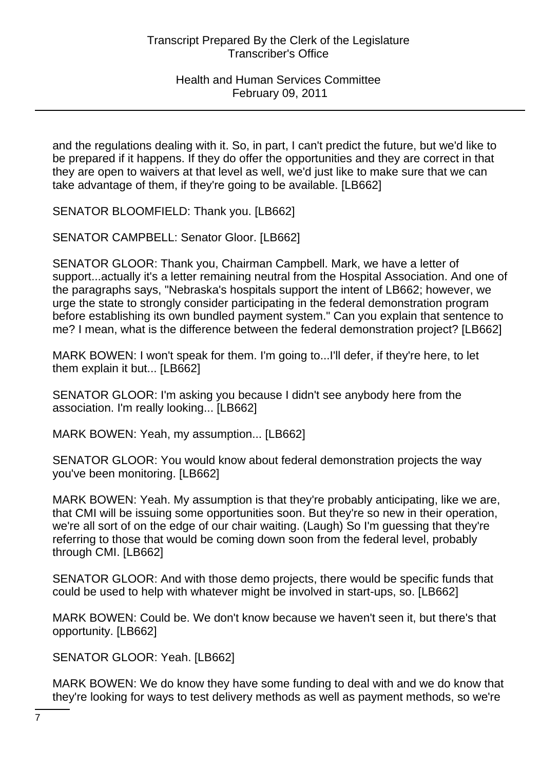and the regulations dealing with it. So, in part, I can't predict the future, but we'd like to be prepared if it happens. If they do offer the opportunities and they are correct in that they are open to waivers at that level as well, we'd just like to make sure that we can take advantage of them, if they're going to be available. [LB662]

SENATOR BLOOMFIELD: Thank you. [LB662]

SENATOR CAMPBELL: Senator Gloor. [LB662]

SENATOR GLOOR: Thank you, Chairman Campbell. Mark, we have a letter of support...actually it's a letter remaining neutral from the Hospital Association. And one of the paragraphs says, "Nebraska's hospitals support the intent of LB662; however, we urge the state to strongly consider participating in the federal demonstration program before establishing its own bundled payment system." Can you explain that sentence to me? I mean, what is the difference between the federal demonstration project? [LB662]

MARK BOWEN: I won't speak for them. I'm going to...I'll defer, if they're here, to let them explain it but... [LB662]

SENATOR GLOOR: I'm asking you because I didn't see anybody here from the association. I'm really looking... [LB662]

MARK BOWEN: Yeah, my assumption... [LB662]

SENATOR GLOOR: You would know about federal demonstration projects the way you've been monitoring. [LB662]

MARK BOWEN: Yeah. My assumption is that they're probably anticipating, like we are, that CMI will be issuing some opportunities soon. But they're so new in their operation, we're all sort of on the edge of our chair waiting. (Laugh) So I'm guessing that they're referring to those that would be coming down soon from the federal level, probably through CMI. [LB662]

SENATOR GLOOR: And with those demo projects, there would be specific funds that could be used to help with whatever might be involved in start-ups, so. [LB662]

MARK BOWEN: Could be. We don't know because we haven't seen it, but there's that opportunity. [LB662]

SENATOR GLOOR: Yeah. [LB662]

MARK BOWEN: We do know they have some funding to deal with and we do know that they're looking for ways to test delivery methods as well as payment methods, so we're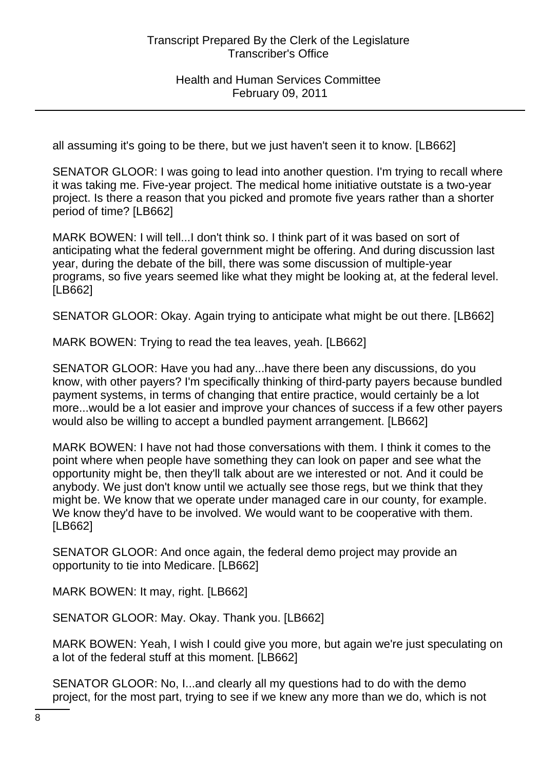all assuming it's going to be there, but we just haven't seen it to know. [LB662]

SENATOR GLOOR: I was going to lead into another question. I'm trying to recall where it was taking me. Five-year project. The medical home initiative outstate is a two-year project. Is there a reason that you picked and promote five years rather than a shorter period of time? [LB662]

MARK BOWEN: I will tell...I don't think so. I think part of it was based on sort of anticipating what the federal government might be offering. And during discussion last year, during the debate of the bill, there was some discussion of multiple-year programs, so five years seemed like what they might be looking at, at the federal level. [LB662]

SENATOR GLOOR: Okay. Again trying to anticipate what might be out there. [LB662]

MARK BOWEN: Trying to read the tea leaves, yeah. [LB662]

SENATOR GLOOR: Have you had any...have there been any discussions, do you know, with other payers? I'm specifically thinking of third-party payers because bundled payment systems, in terms of changing that entire practice, would certainly be a lot more...would be a lot easier and improve your chances of success if a few other payers would also be willing to accept a bundled payment arrangement. [LB662]

MARK BOWEN: I have not had those conversations with them. I think it comes to the point where when people have something they can look on paper and see what the opportunity might be, then they'll talk about are we interested or not. And it could be anybody. We just don't know until we actually see those regs, but we think that they might be. We know that we operate under managed care in our county, for example. We know they'd have to be involved. We would want to be cooperative with them. [LB662]

SENATOR GLOOR: And once again, the federal demo project may provide an opportunity to tie into Medicare. [LB662]

MARK BOWEN: It may, right. [LB662]

SENATOR GLOOR: May. Okay. Thank you. [LB662]

MARK BOWEN: Yeah, I wish I could give you more, but again we're just speculating on a lot of the federal stuff at this moment. [LB662]

SENATOR GLOOR: No, I...and clearly all my questions had to do with the demo project, for the most part, trying to see if we knew any more than we do, which is not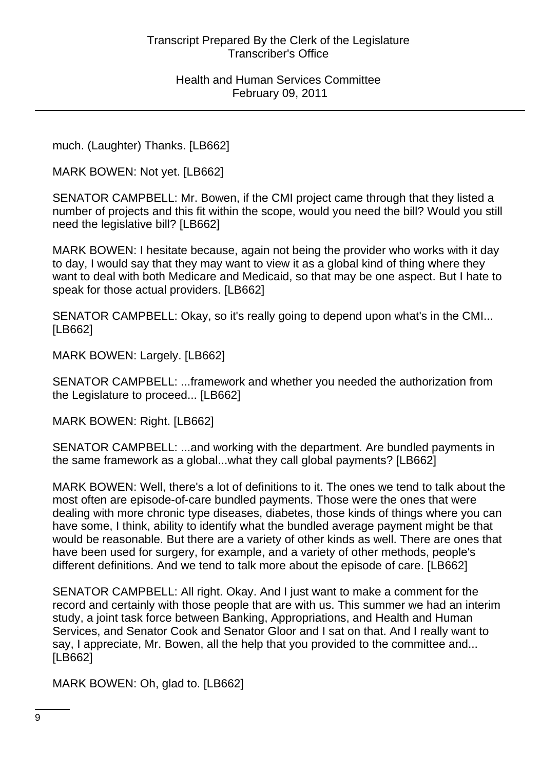much. (Laughter) Thanks. [LB662]

MARK BOWEN: Not yet. [LB662]

SENATOR CAMPBELL: Mr. Bowen, if the CMI project came through that they listed a number of projects and this fit within the scope, would you need the bill? Would you still need the legislative bill? [LB662]

MARK BOWEN: I hesitate because, again not being the provider who works with it day to day, I would say that they may want to view it as a global kind of thing where they want to deal with both Medicare and Medicaid, so that may be one aspect. But I hate to speak for those actual providers. [LB662]

SENATOR CAMPBELL: Okay, so it's really going to depend upon what's in the CMI... [LB662]

MARK BOWEN: Largely. [LB662]

SENATOR CAMPBELL: ...framework and whether you needed the authorization from the Legislature to proceed... [LB662]

MARK BOWEN: Right. [LB662]

SENATOR CAMPBELL: ...and working with the department. Are bundled payments in the same framework as a global...what they call global payments? [LB662]

MARK BOWEN: Well, there's a lot of definitions to it. The ones we tend to talk about the most often are episode-of-care bundled payments. Those were the ones that were dealing with more chronic type diseases, diabetes, those kinds of things where you can have some, I think, ability to identify what the bundled average payment might be that would be reasonable. But there are a variety of other kinds as well. There are ones that have been used for surgery, for example, and a variety of other methods, people's different definitions. And we tend to talk more about the episode of care. [LB662]

SENATOR CAMPBELL: All right. Okay. And I just want to make a comment for the record and certainly with those people that are with us. This summer we had an interim study, a joint task force between Banking, Appropriations, and Health and Human Services, and Senator Cook and Senator Gloor and I sat on that. And I really want to say, I appreciate, Mr. Bowen, all the help that you provided to the committee and... [LB662]

MARK BOWEN: Oh, glad to. [LB662]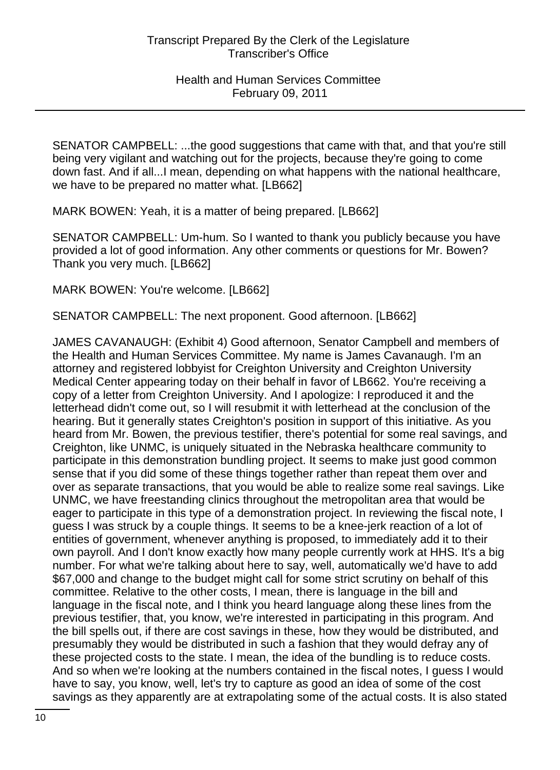SENATOR CAMPBELL: ...the good suggestions that came with that, and that you're still being very vigilant and watching out for the projects, because they're going to come down fast. And if all...I mean, depending on what happens with the national healthcare, we have to be prepared no matter what. [LB662]

MARK BOWEN: Yeah, it is a matter of being prepared. [LB662]

SENATOR CAMPBELL: Um-hum. So I wanted to thank you publicly because you have provided a lot of good information. Any other comments or questions for Mr. Bowen? Thank you very much. [LB662]

MARK BOWEN: You're welcome. [LB662]

SENATOR CAMPBELL: The next proponent. Good afternoon. [LB662]

JAMES CAVANAUGH: (Exhibit 4) Good afternoon, Senator Campbell and members of the Health and Human Services Committee. My name is James Cavanaugh. I'm an attorney and registered lobbyist for Creighton University and Creighton University Medical Center appearing today on their behalf in favor of LB662. You're receiving a copy of a letter from Creighton University. And I apologize: I reproduced it and the letterhead didn't come out, so I will resubmit it with letterhead at the conclusion of the hearing. But it generally states Creighton's position in support of this initiative. As you heard from Mr. Bowen, the previous testifier, there's potential for some real savings, and Creighton, like UNMC, is uniquely situated in the Nebraska healthcare community to participate in this demonstration bundling project. It seems to make just good common sense that if you did some of these things together rather than repeat them over and over as separate transactions, that you would be able to realize some real savings. Like UNMC, we have freestanding clinics throughout the metropolitan area that would be eager to participate in this type of a demonstration project. In reviewing the fiscal note, I guess I was struck by a couple things. It seems to be a knee-jerk reaction of a lot of entities of government, whenever anything is proposed, to immediately add it to their own payroll. And I don't know exactly how many people currently work at HHS. It's a big number. For what we're talking about here to say, well, automatically we'd have to add \$67,000 and change to the budget might call for some strict scrutiny on behalf of this committee. Relative to the other costs, I mean, there is language in the bill and language in the fiscal note, and I think you heard language along these lines from the previous testifier, that, you know, we're interested in participating in this program. And the bill spells out, if there are cost savings in these, how they would be distributed, and presumably they would be distributed in such a fashion that they would defray any of these projected costs to the state. I mean, the idea of the bundling is to reduce costs. And so when we're looking at the numbers contained in the fiscal notes, I guess I would have to say, you know, well, let's try to capture as good an idea of some of the cost savings as they apparently are at extrapolating some of the actual costs. It is also stated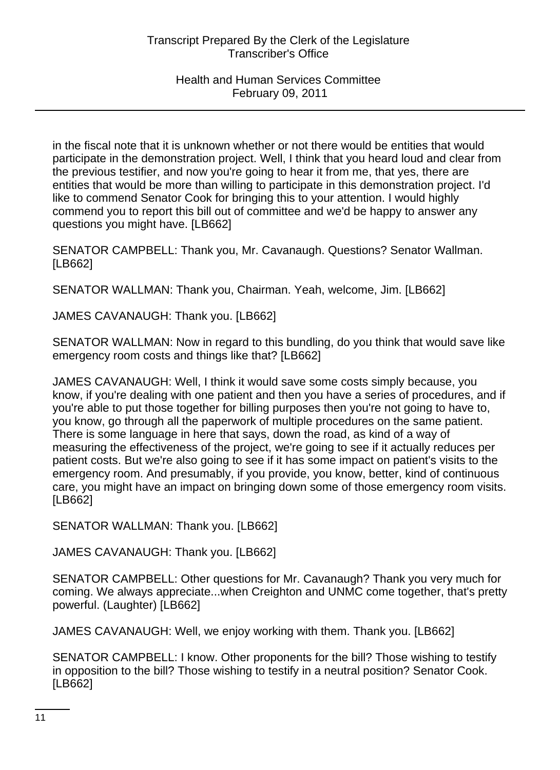in the fiscal note that it is unknown whether or not there would be entities that would participate in the demonstration project. Well, I think that you heard loud and clear from the previous testifier, and now you're going to hear it from me, that yes, there are entities that would be more than willing to participate in this demonstration project. I'd like to commend Senator Cook for bringing this to your attention. I would highly commend you to report this bill out of committee and we'd be happy to answer any questions you might have. [LB662]

SENATOR CAMPBELL: Thank you, Mr. Cavanaugh. Questions? Senator Wallman. [LB662]

SENATOR WALLMAN: Thank you, Chairman. Yeah, welcome, Jim. [LB662]

JAMES CAVANAUGH: Thank you. [LB662]

SENATOR WALLMAN: Now in regard to this bundling, do you think that would save like emergency room costs and things like that? [LB662]

JAMES CAVANAUGH: Well, I think it would save some costs simply because, you know, if you're dealing with one patient and then you have a series of procedures, and if you're able to put those together for billing purposes then you're not going to have to, you know, go through all the paperwork of multiple procedures on the same patient. There is some language in here that says, down the road, as kind of a way of measuring the effectiveness of the project, we're going to see if it actually reduces per patient costs. But we're also going to see if it has some impact on patient's visits to the emergency room. And presumably, if you provide, you know, better, kind of continuous care, you might have an impact on bringing down some of those emergency room visits. [LB662]

SENATOR WALLMAN: Thank you. [LB662]

JAMES CAVANAUGH: Thank you. [LB662]

SENATOR CAMPBELL: Other questions for Mr. Cavanaugh? Thank you very much for coming. We always appreciate...when Creighton and UNMC come together, that's pretty powerful. (Laughter) [LB662]

JAMES CAVANAUGH: Well, we enjoy working with them. Thank you. [LB662]

SENATOR CAMPBELL: I know. Other proponents for the bill? Those wishing to testify in opposition to the bill? Those wishing to testify in a neutral position? Senator Cook. [LB662]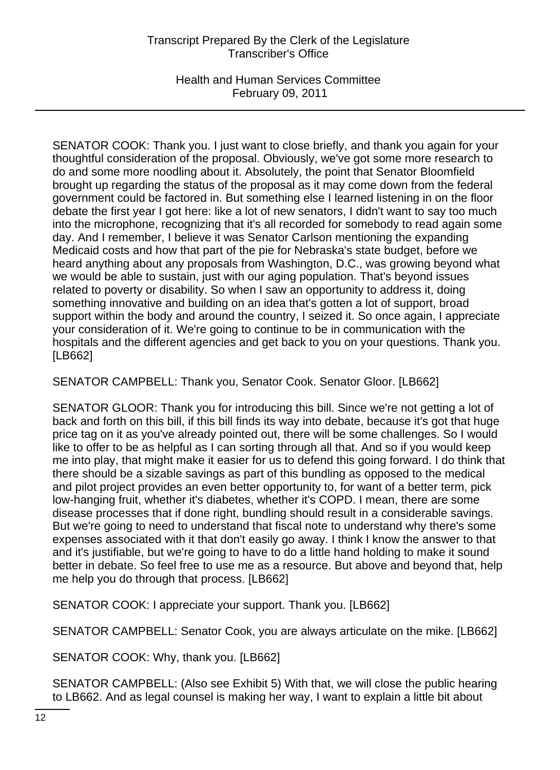Health and Human Services Committee February 09, 2011

SENATOR COOK: Thank you. I just want to close briefly, and thank you again for your thoughtful consideration of the proposal. Obviously, we've got some more research to do and some more noodling about it. Absolutely, the point that Senator Bloomfield brought up regarding the status of the proposal as it may come down from the federal government could be factored in. But something else I learned listening in on the floor debate the first year I got here: like a lot of new senators, I didn't want to say too much into the microphone, recognizing that it's all recorded for somebody to read again some day. And I remember, I believe it was Senator Carlson mentioning the expanding Medicaid costs and how that part of the pie for Nebraska's state budget, before we heard anything about any proposals from Washington, D.C., was growing beyond what we would be able to sustain, just with our aging population. That's beyond issues related to poverty or disability. So when I saw an opportunity to address it, doing something innovative and building on an idea that's gotten a lot of support, broad support within the body and around the country, I seized it. So once again, I appreciate your consideration of it. We're going to continue to be in communication with the hospitals and the different agencies and get back to you on your questions. Thank you. [LB662]

SENATOR CAMPBELL: Thank you, Senator Cook. Senator Gloor. [LB662]

SENATOR GLOOR: Thank you for introducing this bill. Since we're not getting a lot of back and forth on this bill, if this bill finds its way into debate, because it's got that huge price tag on it as you've already pointed out, there will be some challenges. So I would like to offer to be as helpful as I can sorting through all that. And so if you would keep me into play, that might make it easier for us to defend this going forward. I do think that there should be a sizable savings as part of this bundling as opposed to the medical and pilot project provides an even better opportunity to, for want of a better term, pick low-hanging fruit, whether it's diabetes, whether it's COPD. I mean, there are some disease processes that if done right, bundling should result in a considerable savings. But we're going to need to understand that fiscal note to understand why there's some expenses associated with it that don't easily go away. I think I know the answer to that and it's justifiable, but we're going to have to do a little hand holding to make it sound better in debate. So feel free to use me as a resource. But above and beyond that, help me help you do through that process. [LB662]

SENATOR COOK: I appreciate your support. Thank you. [LB662]

SENATOR CAMPBELL: Senator Cook, you are always articulate on the mike. [LB662]

SENATOR COOK: Why, thank you. [LB662]

SENATOR CAMPBELL: (Also see Exhibit 5) With that, we will close the public hearing to LB662. And as legal counsel is making her way, I want to explain a little bit about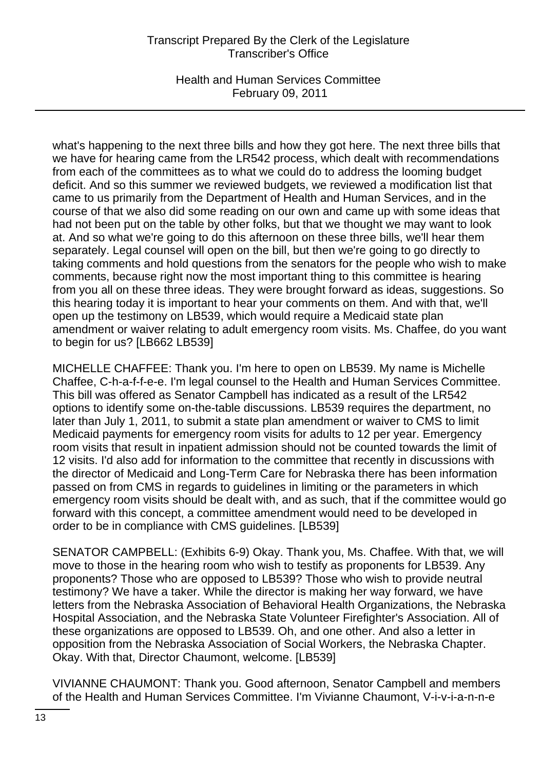Health and Human Services Committee February 09, 2011

what's happening to the next three bills and how they got here. The next three bills that we have for hearing came from the LR542 process, which dealt with recommendations from each of the committees as to what we could do to address the looming budget deficit. And so this summer we reviewed budgets, we reviewed a modification list that came to us primarily from the Department of Health and Human Services, and in the course of that we also did some reading on our own and came up with some ideas that had not been put on the table by other folks, but that we thought we may want to look at. And so what we're going to do this afternoon on these three bills, we'll hear them separately. Legal counsel will open on the bill, but then we're going to go directly to taking comments and hold questions from the senators for the people who wish to make comments, because right now the most important thing to this committee is hearing from you all on these three ideas. They were brought forward as ideas, suggestions. So this hearing today it is important to hear your comments on them. And with that, we'll open up the testimony on LB539, which would require a Medicaid state plan amendment or waiver relating to adult emergency room visits. Ms. Chaffee, do you want to begin for us? [LB662 LB539]

MICHELLE CHAFFEE: Thank you. I'm here to open on LB539. My name is Michelle Chaffee, C-h-a-f-f-e-e. I'm legal counsel to the Health and Human Services Committee. This bill was offered as Senator Campbell has indicated as a result of the LR542 options to identify some on-the-table discussions. LB539 requires the department, no later than July 1, 2011, to submit a state plan amendment or waiver to CMS to limit Medicaid payments for emergency room visits for adults to 12 per year. Emergency room visits that result in inpatient admission should not be counted towards the limit of 12 visits. I'd also add for information to the committee that recently in discussions with the director of Medicaid and Long-Term Care for Nebraska there has been information passed on from CMS in regards to guidelines in limiting or the parameters in which emergency room visits should be dealt with, and as such, that if the committee would go forward with this concept, a committee amendment would need to be developed in order to be in compliance with CMS guidelines. [LB539]

SENATOR CAMPBELL: (Exhibits 6-9) Okay. Thank you, Ms. Chaffee. With that, we will move to those in the hearing room who wish to testify as proponents for LB539. Any proponents? Those who are opposed to LB539? Those who wish to provide neutral testimony? We have a taker. While the director is making her way forward, we have letters from the Nebraska Association of Behavioral Health Organizations, the Nebraska Hospital Association, and the Nebraska State Volunteer Firefighter's Association. All of these organizations are opposed to LB539. Oh, and one other. And also a letter in opposition from the Nebraska Association of Social Workers, the Nebraska Chapter. Okay. With that, Director Chaumont, welcome. [LB539]

VIVIANNE CHAUMONT: Thank you. Good afternoon, Senator Campbell and members of the Health and Human Services Committee. I'm Vivianne Chaumont, V-i-v-i-a-n-n-e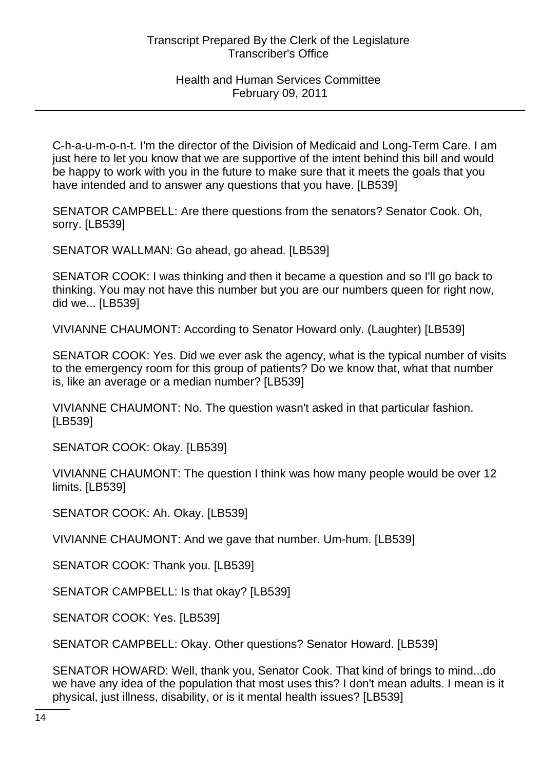C-h-a-u-m-o-n-t. I'm the director of the Division of Medicaid and Long-Term Care. I am just here to let you know that we are supportive of the intent behind this bill and would be happy to work with you in the future to make sure that it meets the goals that you have intended and to answer any questions that you have. [LB539]

SENATOR CAMPBELL: Are there questions from the senators? Senator Cook. Oh, sorry. [LB539]

SENATOR WALLMAN: Go ahead, go ahead. [LB539]

SENATOR COOK: I was thinking and then it became a question and so I'll go back to thinking. You may not have this number but you are our numbers queen for right now, did we... [LB539]

VIVIANNE CHAUMONT: According to Senator Howard only. (Laughter) [LB539]

SENATOR COOK: Yes. Did we ever ask the agency, what is the typical number of visits to the emergency room for this group of patients? Do we know that, what that number is, like an average or a median number? [LB539]

VIVIANNE CHAUMONT: No. The question wasn't asked in that particular fashion. [LB539]

SENATOR COOK: Okay. [LB539]

VIVIANNE CHAUMONT: The question I think was how many people would be over 12 limits. [LB539]

SENATOR COOK: Ah. Okay. [LB539]

VIVIANNE CHAUMONT: And we gave that number. Um-hum. [LB539]

SENATOR COOK: Thank you. [LB539]

SENATOR CAMPBELL: Is that okay? [LB539]

SENATOR COOK: Yes. [LB539]

SENATOR CAMPBELL: Okay. Other questions? Senator Howard. [LB539]

SENATOR HOWARD: Well, thank you, Senator Cook. That kind of brings to mind...do we have any idea of the population that most uses this? I don't mean adults. I mean is it physical, just illness, disability, or is it mental health issues? [LB539]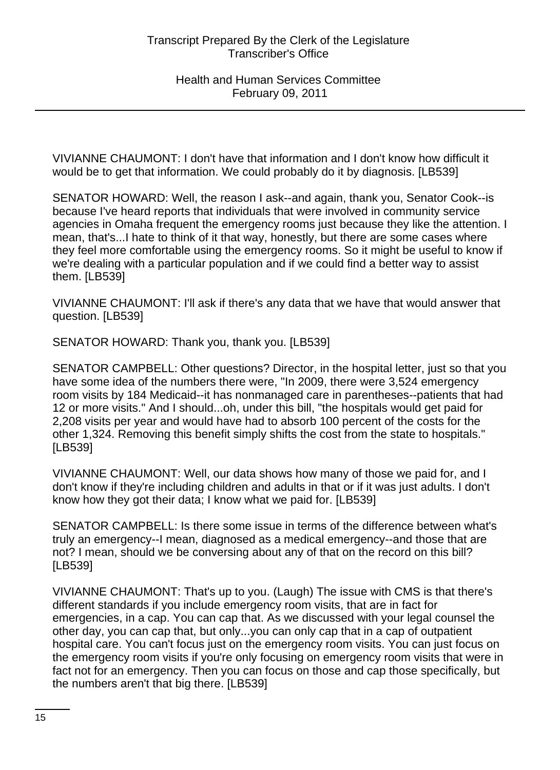VIVIANNE CHAUMONT: I don't have that information and I don't know how difficult it would be to get that information. We could probably do it by diagnosis. [LB539]

SENATOR HOWARD: Well, the reason I ask--and again, thank you, Senator Cook--is because I've heard reports that individuals that were involved in community service agencies in Omaha frequent the emergency rooms just because they like the attention. I mean, that's...I hate to think of it that way, honestly, but there are some cases where they feel more comfortable using the emergency rooms. So it might be useful to know if we're dealing with a particular population and if we could find a better way to assist them. [LB539]

VIVIANNE CHAUMONT: I'll ask if there's any data that we have that would answer that question. [LB539]

SENATOR HOWARD: Thank you, thank you. [LB539]

SENATOR CAMPBELL: Other questions? Director, in the hospital letter, just so that you have some idea of the numbers there were, "In 2009, there were 3,524 emergency room visits by 184 Medicaid--it has nonmanaged care in parentheses--patients that had 12 or more visits." And I should...oh, under this bill, "the hospitals would get paid for 2,208 visits per year and would have had to absorb 100 percent of the costs for the other 1,324. Removing this benefit simply shifts the cost from the state to hospitals." [LB539]

VIVIANNE CHAUMONT: Well, our data shows how many of those we paid for, and I don't know if they're including children and adults in that or if it was just adults. I don't know how they got their data; I know what we paid for. [LB539]

SENATOR CAMPBELL: Is there some issue in terms of the difference between what's truly an emergency--I mean, diagnosed as a medical emergency--and those that are not? I mean, should we be conversing about any of that on the record on this bill? [LB539]

VIVIANNE CHAUMONT: That's up to you. (Laugh) The issue with CMS is that there's different standards if you include emergency room visits, that are in fact for emergencies, in a cap. You can cap that. As we discussed with your legal counsel the other day, you can cap that, but only...you can only cap that in a cap of outpatient hospital care. You can't focus just on the emergency room visits. You can just focus on the emergency room visits if you're only focusing on emergency room visits that were in fact not for an emergency. Then you can focus on those and cap those specifically, but the numbers aren't that big there. [LB539]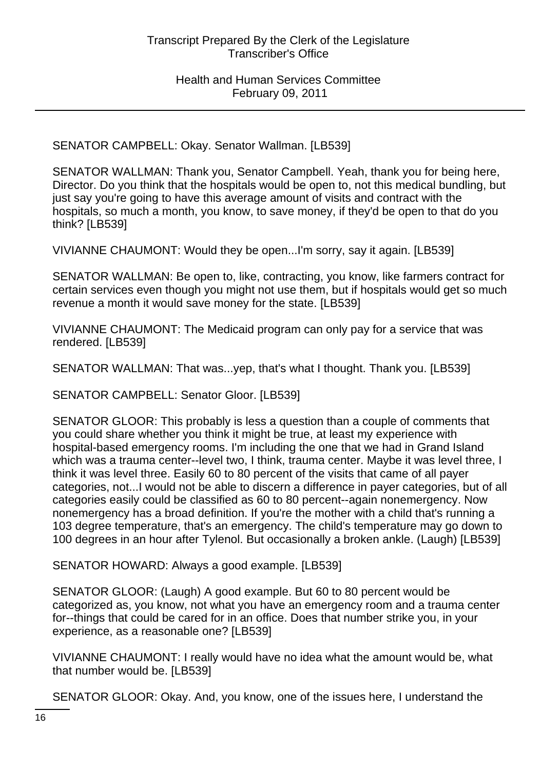SENATOR CAMPBELL: Okay. Senator Wallman. [LB539]

SENATOR WALLMAN: Thank you, Senator Campbell. Yeah, thank you for being here, Director. Do you think that the hospitals would be open to, not this medical bundling, but just say you're going to have this average amount of visits and contract with the hospitals, so much a month, you know, to save money, if they'd be open to that do you think? [LB539]

VIVIANNE CHAUMONT: Would they be open...I'm sorry, say it again. [LB539]

SENATOR WALLMAN: Be open to, like, contracting, you know, like farmers contract for certain services even though you might not use them, but if hospitals would get so much revenue a month it would save money for the state. [LB539]

VIVIANNE CHAUMONT: The Medicaid program can only pay for a service that was rendered. [LB539]

SENATOR WALLMAN: That was...yep, that's what I thought. Thank you. [LB539]

SENATOR CAMPBELL: Senator Gloor. [LB539]

SENATOR GLOOR: This probably is less a question than a couple of comments that you could share whether you think it might be true, at least my experience with hospital-based emergency rooms. I'm including the one that we had in Grand Island which was a trauma center--level two, I think, trauma center. Maybe it was level three, I think it was level three. Easily 60 to 80 percent of the visits that came of all payer categories, not...I would not be able to discern a difference in payer categories, but of all categories easily could be classified as 60 to 80 percent--again nonemergency. Now nonemergency has a broad definition. If you're the mother with a child that's running a 103 degree temperature, that's an emergency. The child's temperature may go down to 100 degrees in an hour after Tylenol. But occasionally a broken ankle. (Laugh) [LB539]

SENATOR HOWARD: Always a good example. [LB539]

SENATOR GLOOR: (Laugh) A good example. But 60 to 80 percent would be categorized as, you know, not what you have an emergency room and a trauma center for--things that could be cared for in an office. Does that number strike you, in your experience, as a reasonable one? [LB539]

VIVIANNE CHAUMONT: I really would have no idea what the amount would be, what that number would be. [LB539]

SENATOR GLOOR: Okay. And, you know, one of the issues here, I understand the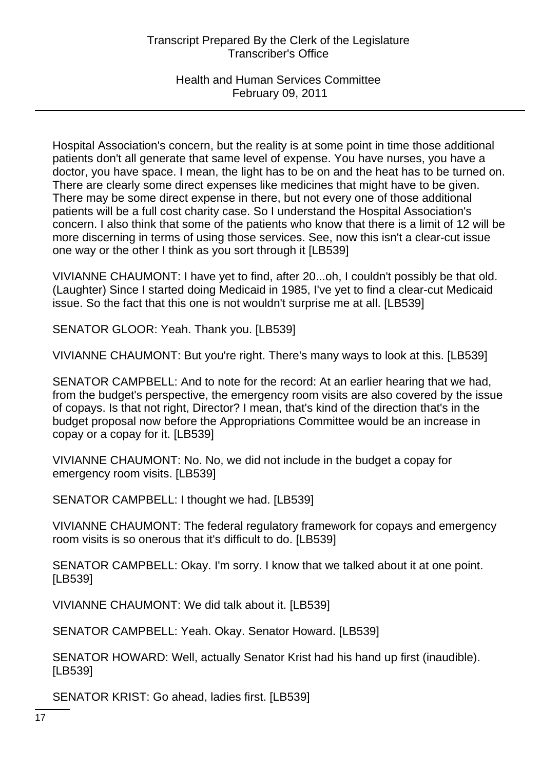Health and Human Services Committee February 09, 2011

Hospital Association's concern, but the reality is at some point in time those additional patients don't all generate that same level of expense. You have nurses, you have a doctor, you have space. I mean, the light has to be on and the heat has to be turned on. There are clearly some direct expenses like medicines that might have to be given. There may be some direct expense in there, but not every one of those additional patients will be a full cost charity case. So I understand the Hospital Association's concern. I also think that some of the patients who know that there is a limit of 12 will be more discerning in terms of using those services. See, now this isn't a clear-cut issue one way or the other I think as you sort through it [LB539]

VIVIANNE CHAUMONT: I have yet to find, after 20...oh, I couldn't possibly be that old. (Laughter) Since I started doing Medicaid in 1985, I've yet to find a clear-cut Medicaid issue. So the fact that this one is not wouldn't surprise me at all. [LB539]

SENATOR GLOOR: Yeah. Thank you. [LB539]

VIVIANNE CHAUMONT: But you're right. There's many ways to look at this. [LB539]

SENATOR CAMPBELL: And to note for the record: At an earlier hearing that we had, from the budget's perspective, the emergency room visits are also covered by the issue of copays. Is that not right, Director? I mean, that's kind of the direction that's in the budget proposal now before the Appropriations Committee would be an increase in copay or a copay for it. [LB539]

VIVIANNE CHAUMONT: No. No, we did not include in the budget a copay for emergency room visits. [LB539]

SENATOR CAMPBELL: I thought we had. [LB539]

VIVIANNE CHAUMONT: The federal regulatory framework for copays and emergency room visits is so onerous that it's difficult to do. [LB539]

SENATOR CAMPBELL: Okay. I'm sorry. I know that we talked about it at one point. [LB539]

VIVIANNE CHAUMONT: We did talk about it. [LB539]

SENATOR CAMPBELL: Yeah. Okay. Senator Howard. [LB539]

SENATOR HOWARD: Well, actually Senator Krist had his hand up first (inaudible). [LB539]

SENATOR KRIST: Go ahead, ladies first. [LB539]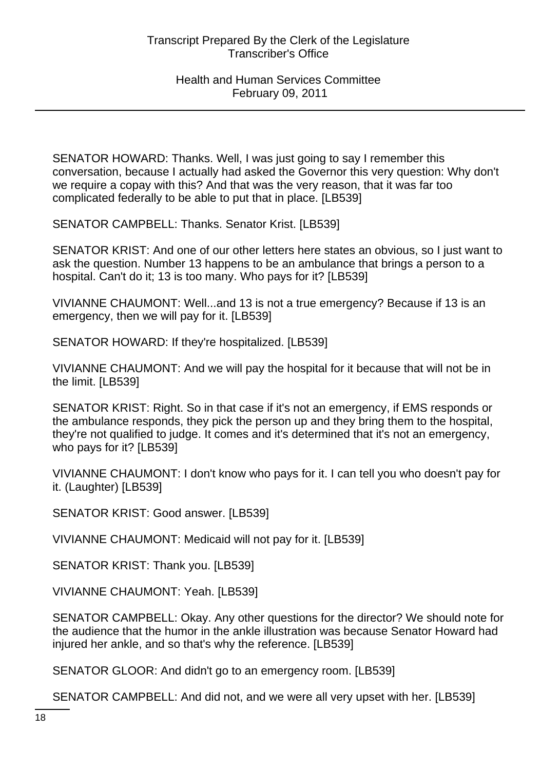SENATOR HOWARD: Thanks. Well, I was just going to say I remember this conversation, because I actually had asked the Governor this very question: Why don't we require a copay with this? And that was the very reason, that it was far too complicated federally to be able to put that in place. [LB539]

SENATOR CAMPBELL: Thanks. Senator Krist. [LB539]

SENATOR KRIST: And one of our other letters here states an obvious, so I just want to ask the question. Number 13 happens to be an ambulance that brings a person to a hospital. Can't do it; 13 is too many. Who pays for it? [LB539]

VIVIANNE CHAUMONT: Well...and 13 is not a true emergency? Because if 13 is an emergency, then we will pay for it. [LB539]

SENATOR HOWARD: If they're hospitalized. [LB539]

VIVIANNE CHAUMONT: And we will pay the hospital for it because that will not be in the limit. [LB539]

SENATOR KRIST: Right. So in that case if it's not an emergency, if EMS responds or the ambulance responds, they pick the person up and they bring them to the hospital, they're not qualified to judge. It comes and it's determined that it's not an emergency, who pays for it? [LB539]

VIVIANNE CHAUMONT: I don't know who pays for it. I can tell you who doesn't pay for it. (Laughter) [LB539]

SENATOR KRIST: Good answer. [LB539]

VIVIANNE CHAUMONT: Medicaid will not pay for it. [LB539]

SENATOR KRIST: Thank you. [LB539]

VIVIANNE CHAUMONT: Yeah. [LB539]

SENATOR CAMPBELL: Okay. Any other questions for the director? We should note for the audience that the humor in the ankle illustration was because Senator Howard had injured her ankle, and so that's why the reference. [LB539]

SENATOR GLOOR: And didn't go to an emergency room. [LB539]

SENATOR CAMPBELL: And did not, and we were all very upset with her. [LB539]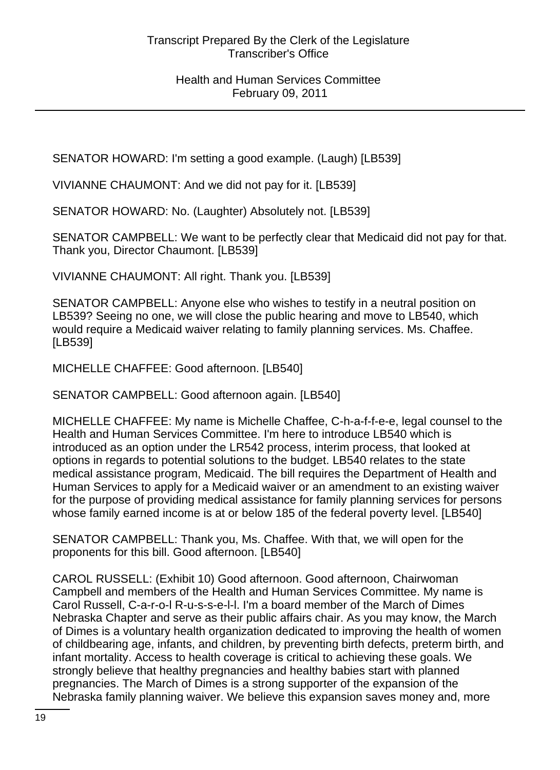SENATOR HOWARD: I'm setting a good example. (Laugh) [LB539]

VIVIANNE CHAUMONT: And we did not pay for it. [LB539]

SENATOR HOWARD: No. (Laughter) Absolutely not. [LB539]

SENATOR CAMPBELL: We want to be perfectly clear that Medicaid did not pay for that. Thank you, Director Chaumont. [LB539]

VIVIANNE CHAUMONT: All right. Thank you. [LB539]

SENATOR CAMPBELL: Anyone else who wishes to testify in a neutral position on LB539? Seeing no one, we will close the public hearing and move to LB540, which would require a Medicaid waiver relating to family planning services. Ms. Chaffee. [LB539]

MICHELLE CHAFFEE: Good afternoon. [LB540]

SENATOR CAMPBELL: Good afternoon again. [LB540]

MICHELLE CHAFFEE: My name is Michelle Chaffee, C-h-a-f-f-e-e, legal counsel to the Health and Human Services Committee. I'm here to introduce LB540 which is introduced as an option under the LR542 process, interim process, that looked at options in regards to potential solutions to the budget. LB540 relates to the state medical assistance program, Medicaid. The bill requires the Department of Health and Human Services to apply for a Medicaid waiver or an amendment to an existing waiver for the purpose of providing medical assistance for family planning services for persons whose family earned income is at or below 185 of the federal poverty level. [LB540]

SENATOR CAMPBELL: Thank you, Ms. Chaffee. With that, we will open for the proponents for this bill. Good afternoon. [LB540]

CAROL RUSSELL: (Exhibit 10) Good afternoon. Good afternoon, Chairwoman Campbell and members of the Health and Human Services Committee. My name is Carol Russell, C-a-r-o-l R-u-s-s-e-l-l. I'm a board member of the March of Dimes Nebraska Chapter and serve as their public affairs chair. As you may know, the March of Dimes is a voluntary health organization dedicated to improving the health of women of childbearing age, infants, and children, by preventing birth defects, preterm birth, and infant mortality. Access to health coverage is critical to achieving these goals. We strongly believe that healthy pregnancies and healthy babies start with planned pregnancies. The March of Dimes is a strong supporter of the expansion of the Nebraska family planning waiver. We believe this expansion saves money and, more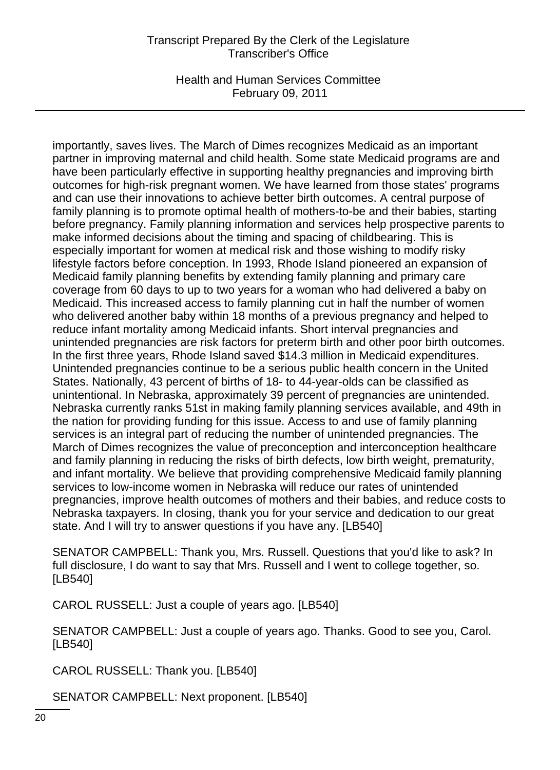Health and Human Services Committee February 09, 2011

importantly, saves lives. The March of Dimes recognizes Medicaid as an important partner in improving maternal and child health. Some state Medicaid programs are and have been particularly effective in supporting healthy pregnancies and improving birth outcomes for high-risk pregnant women. We have learned from those states' programs and can use their innovations to achieve better birth outcomes. A central purpose of family planning is to promote optimal health of mothers-to-be and their babies, starting before pregnancy. Family planning information and services help prospective parents to make informed decisions about the timing and spacing of childbearing. This is especially important for women at medical risk and those wishing to modify risky lifestyle factors before conception. In 1993, Rhode Island pioneered an expansion of Medicaid family planning benefits by extending family planning and primary care coverage from 60 days to up to two years for a woman who had delivered a baby on Medicaid. This increased access to family planning cut in half the number of women who delivered another baby within 18 months of a previous pregnancy and helped to reduce infant mortality among Medicaid infants. Short interval pregnancies and unintended pregnancies are risk factors for preterm birth and other poor birth outcomes. In the first three years, Rhode Island saved \$14.3 million in Medicaid expenditures. Unintended pregnancies continue to be a serious public health concern in the United States. Nationally, 43 percent of births of 18- to 44-year-olds can be classified as unintentional. In Nebraska, approximately 39 percent of pregnancies are unintended. Nebraska currently ranks 51st in making family planning services available, and 49th in the nation for providing funding for this issue. Access to and use of family planning services is an integral part of reducing the number of unintended pregnancies. The March of Dimes recognizes the value of preconception and interconception healthcare and family planning in reducing the risks of birth defects, low birth weight, prematurity, and infant mortality. We believe that providing comprehensive Medicaid family planning services to low-income women in Nebraska will reduce our rates of unintended pregnancies, improve health outcomes of mothers and their babies, and reduce costs to Nebraska taxpayers. In closing, thank you for your service and dedication to our great state. And I will try to answer questions if you have any. [LB540]

SENATOR CAMPBELL: Thank you, Mrs. Russell. Questions that you'd like to ask? In full disclosure, I do want to say that Mrs. Russell and I went to college together, so. [LB540]

CAROL RUSSELL: Just a couple of years ago. [LB540]

SENATOR CAMPBELL: Just a couple of years ago. Thanks. Good to see you, Carol. [LB540]

CAROL RUSSELL: Thank you. [LB540]

SENATOR CAMPBELL: Next proponent. [LB540]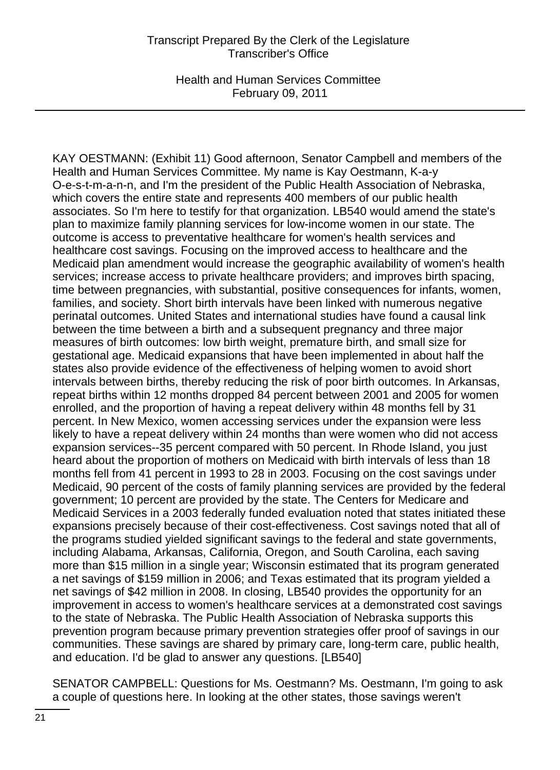Health and Human Services Committee February 09, 2011

KAY OESTMANN: (Exhibit 11) Good afternoon, Senator Campbell and members of the Health and Human Services Committee. My name is Kay Oestmann, K-a-y O-e-s-t-m-a-n-n, and I'm the president of the Public Health Association of Nebraska, which covers the entire state and represents 400 members of our public health associates. So I'm here to testify for that organization. LB540 would amend the state's plan to maximize family planning services for low-income women in our state. The outcome is access to preventative healthcare for women's health services and healthcare cost savings. Focusing on the improved access to healthcare and the Medicaid plan amendment would increase the geographic availability of women's health services; increase access to private healthcare providers; and improves birth spacing, time between pregnancies, with substantial, positive consequences for infants, women, families, and society. Short birth intervals have been linked with numerous negative perinatal outcomes. United States and international studies have found a causal link between the time between a birth and a subsequent pregnancy and three major measures of birth outcomes: low birth weight, premature birth, and small size for gestational age. Medicaid expansions that have been implemented in about half the states also provide evidence of the effectiveness of helping women to avoid short intervals between births, thereby reducing the risk of poor birth outcomes. In Arkansas, repeat births within 12 months dropped 84 percent between 2001 and 2005 for women enrolled, and the proportion of having a repeat delivery within 48 months fell by 31 percent. In New Mexico, women accessing services under the expansion were less likely to have a repeat delivery within 24 months than were women who did not access expansion services--35 percent compared with 50 percent. In Rhode Island, you just heard about the proportion of mothers on Medicaid with birth intervals of less than 18 months fell from 41 percent in 1993 to 28 in 2003. Focusing on the cost savings under Medicaid, 90 percent of the costs of family planning services are provided by the federal government; 10 percent are provided by the state. The Centers for Medicare and Medicaid Services in a 2003 federally funded evaluation noted that states initiated these expansions precisely because of their cost-effectiveness. Cost savings noted that all of the programs studied yielded significant savings to the federal and state governments, including Alabama, Arkansas, California, Oregon, and South Carolina, each saving more than \$15 million in a single year; Wisconsin estimated that its program generated a net savings of \$159 million in 2006; and Texas estimated that its program yielded a net savings of \$42 million in 2008. In closing, LB540 provides the opportunity for an improvement in access to women's healthcare services at a demonstrated cost savings to the state of Nebraska. The Public Health Association of Nebraska supports this prevention program because primary prevention strategies offer proof of savings in our communities. These savings are shared by primary care, long-term care, public health, and education. I'd be glad to answer any questions. [LB540]

SENATOR CAMPBELL: Questions for Ms. Oestmann? Ms. Oestmann, I'm going to ask a couple of questions here. In looking at the other states, those savings weren't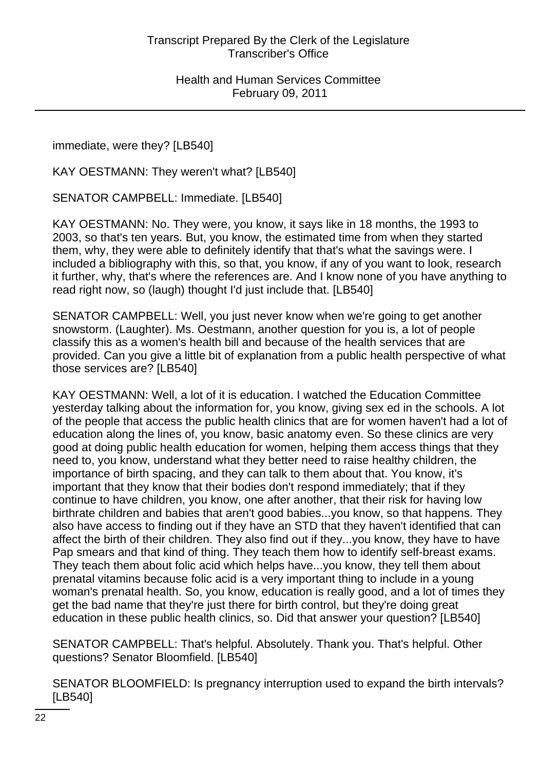immediate, were they? [LB540]

KAY OESTMANN: They weren't what? [LB540]

SENATOR CAMPBELL: Immediate. [LB540]

KAY OESTMANN: No. They were, you know, it says like in 18 months, the 1993 to 2003, so that's ten years. But, you know, the estimated time from when they started them, why, they were able to definitely identify that that's what the savings were. I included a bibliography with this, so that, you know, if any of you want to look, research it further, why, that's where the references are. And I know none of you have anything to read right now, so (laugh) thought I'd just include that. [LB540]

SENATOR CAMPBELL: Well, you just never know when we're going to get another snowstorm. (Laughter). Ms. Oestmann, another question for you is, a lot of people classify this as a women's health bill and because of the health services that are provided. Can you give a little bit of explanation from a public health perspective of what those services are? [LB540]

KAY OESTMANN: Well, a lot of it is education. I watched the Education Committee yesterday talking about the information for, you know, giving sex ed in the schools. A lot of the people that access the public health clinics that are for women haven't had a lot of education along the lines of, you know, basic anatomy even. So these clinics are very good at doing public health education for women, helping them access things that they need to, you know, understand what they better need to raise healthy children, the importance of birth spacing, and they can talk to them about that. You know, it's important that they know that their bodies don't respond immediately; that if they continue to have children, you know, one after another, that their risk for having low birthrate children and babies that aren't good babies...you know, so that happens. They also have access to finding out if they have an STD that they haven't identified that can affect the birth of their children. They also find out if they...you know, they have to have Pap smears and that kind of thing. They teach them how to identify self-breast exams. They teach them about folic acid which helps have...you know, they tell them about prenatal vitamins because folic acid is a very important thing to include in a young woman's prenatal health. So, you know, education is really good, and a lot of times they get the bad name that they're just there for birth control, but they're doing great education in these public health clinics, so. Did that answer your question? [LB540]

SENATOR CAMPBELL: That's helpful. Absolutely. Thank you. That's helpful. Other questions? Senator Bloomfield. [LB540]

SENATOR BLOOMFIELD: Is pregnancy interruption used to expand the birth intervals? [LB540]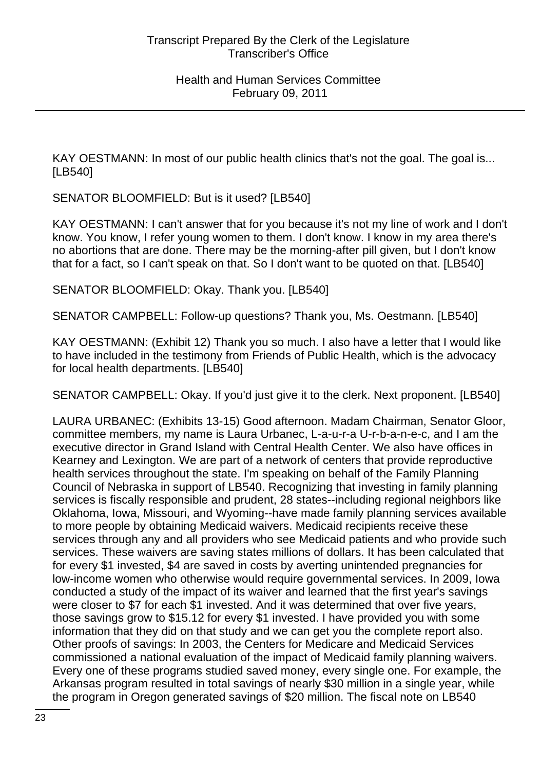KAY OESTMANN: In most of our public health clinics that's not the goal. The goal is... [LB540]

SENATOR BLOOMFIELD: But is it used? [LB540]

KAY OESTMANN: I can't answer that for you because it's not my line of work and I don't know. You know, I refer young women to them. I don't know. I know in my area there's no abortions that are done. There may be the morning-after pill given, but I don't know that for a fact, so I can't speak on that. So I don't want to be quoted on that. [LB540]

SENATOR BLOOMFIELD: Okay. Thank you. [LB540]

SENATOR CAMPBELL: Follow-up questions? Thank you, Ms. Oestmann. [LB540]

KAY OESTMANN: (Exhibit 12) Thank you so much. I also have a letter that I would like to have included in the testimony from Friends of Public Health, which is the advocacy for local health departments. [LB540]

SENATOR CAMPBELL: Okay. If you'd just give it to the clerk. Next proponent. [LB540]

LAURA URBANEC: (Exhibits 13-15) Good afternoon. Madam Chairman, Senator Gloor, committee members, my name is Laura Urbanec, L-a-u-r-a U-r-b-a-n-e-c, and I am the executive director in Grand Island with Central Health Center. We also have offices in Kearney and Lexington. We are part of a network of centers that provide reproductive health services throughout the state. I'm speaking on behalf of the Family Planning Council of Nebraska in support of LB540. Recognizing that investing in family planning services is fiscally responsible and prudent, 28 states--including regional neighbors like Oklahoma, Iowa, Missouri, and Wyoming--have made family planning services available to more people by obtaining Medicaid waivers. Medicaid recipients receive these services through any and all providers who see Medicaid patients and who provide such services. These waivers are saving states millions of dollars. It has been calculated that for every \$1 invested, \$4 are saved in costs by averting unintended pregnancies for low-income women who otherwise would require governmental services. In 2009, Iowa conducted a study of the impact of its waiver and learned that the first year's savings were closer to \$7 for each \$1 invested. And it was determined that over five years, those savings grow to \$15.12 for every \$1 invested. I have provided you with some information that they did on that study and we can get you the complete report also. Other proofs of savings: In 2003, the Centers for Medicare and Medicaid Services commissioned a national evaluation of the impact of Medicaid family planning waivers. Every one of these programs studied saved money, every single one. For example, the Arkansas program resulted in total savings of nearly \$30 million in a single year, while the program in Oregon generated savings of \$20 million. The fiscal note on LB540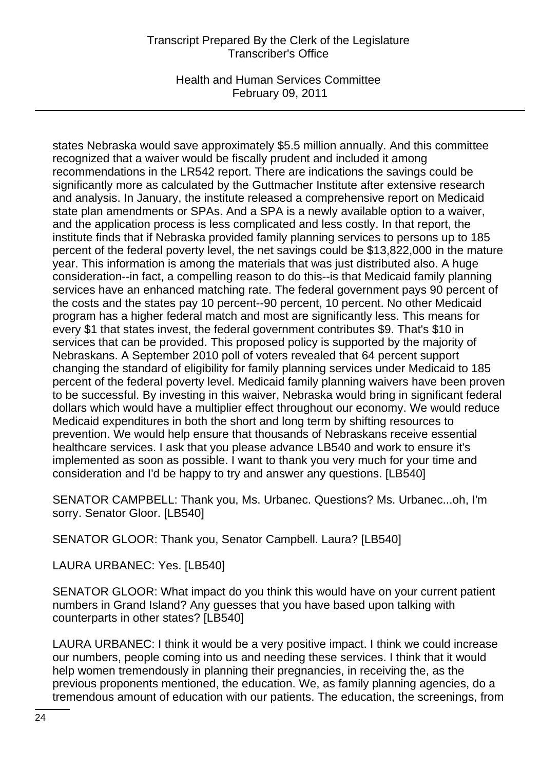Health and Human Services Committee February 09, 2011

states Nebraska would save approximately \$5.5 million annually. And this committee recognized that a waiver would be fiscally prudent and included it among recommendations in the LR542 report. There are indications the savings could be significantly more as calculated by the Guttmacher Institute after extensive research and analysis. In January, the institute released a comprehensive report on Medicaid state plan amendments or SPAs. And a SPA is a newly available option to a waiver, and the application process is less complicated and less costly. In that report, the institute finds that if Nebraska provided family planning services to persons up to 185 percent of the federal poverty level, the net savings could be \$13,822,000 in the mature year. This information is among the materials that was just distributed also. A huge consideration--in fact, a compelling reason to do this--is that Medicaid family planning services have an enhanced matching rate. The federal government pays 90 percent of the costs and the states pay 10 percent--90 percent, 10 percent. No other Medicaid program has a higher federal match and most are significantly less. This means for every \$1 that states invest, the federal government contributes \$9. That's \$10 in services that can be provided. This proposed policy is supported by the majority of Nebraskans. A September 2010 poll of voters revealed that 64 percent support changing the standard of eligibility for family planning services under Medicaid to 185 percent of the federal poverty level. Medicaid family planning waivers have been proven to be successful. By investing in this waiver, Nebraska would bring in significant federal dollars which would have a multiplier effect throughout our economy. We would reduce Medicaid expenditures in both the short and long term by shifting resources to prevention. We would help ensure that thousands of Nebraskans receive essential healthcare services. I ask that you please advance LB540 and work to ensure it's implemented as soon as possible. I want to thank you very much for your time and consideration and I'd be happy to try and answer any questions. [LB540]

SENATOR CAMPBELL: Thank you, Ms. Urbanec. Questions? Ms. Urbanec...oh, I'm sorry. Senator Gloor. [LB540]

SENATOR GLOOR: Thank you, Senator Campbell. Laura? [LB540]

LAURA URBANEC: Yes. [LB540]

SENATOR GLOOR: What impact do you think this would have on your current patient numbers in Grand Island? Any guesses that you have based upon talking with counterparts in other states? [LB540]

LAURA URBANEC: I think it would be a very positive impact. I think we could increase our numbers, people coming into us and needing these services. I think that it would help women tremendously in planning their pregnancies, in receiving the, as the previous proponents mentioned, the education. We, as family planning agencies, do a tremendous amount of education with our patients. The education, the screenings, from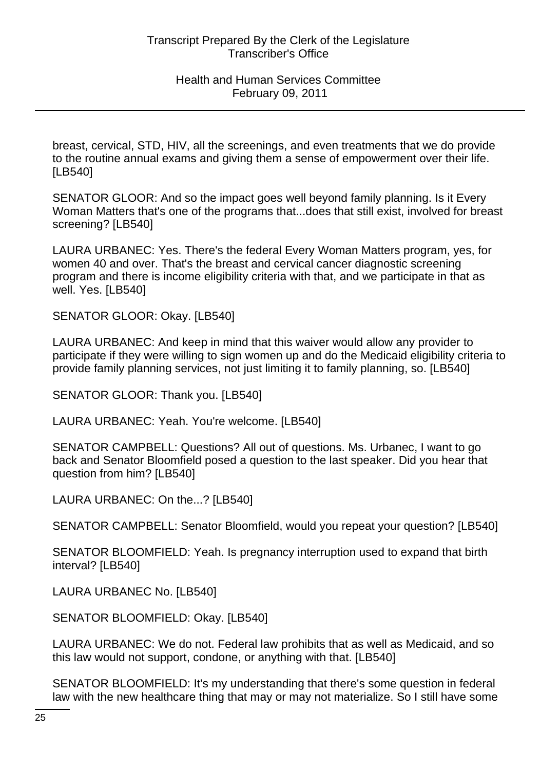breast, cervical, STD, HIV, all the screenings, and even treatments that we do provide to the routine annual exams and giving them a sense of empowerment over their life. [LB540]

SENATOR GLOOR: And so the impact goes well beyond family planning. Is it Every Woman Matters that's one of the programs that...does that still exist, involved for breast screening? [LB540]

LAURA URBANEC: Yes. There's the federal Every Woman Matters program, yes, for women 40 and over. That's the breast and cervical cancer diagnostic screening program and there is income eligibility criteria with that, and we participate in that as well. Yes. [LB540]

SENATOR GLOOR: Okay. [LB540]

LAURA URBANEC: And keep in mind that this waiver would allow any provider to participate if they were willing to sign women up and do the Medicaid eligibility criteria to provide family planning services, not just limiting it to family planning, so. [LB540]

SENATOR GLOOR: Thank you. [LB540]

LAURA URBANEC: Yeah. You're welcome. [LB540]

SENATOR CAMPBELL: Questions? All out of questions. Ms. Urbanec, I want to go back and Senator Bloomfield posed a question to the last speaker. Did you hear that question from him? [LB540]

LAURA URBANEC: On the...? [LB540]

SENATOR CAMPBELL: Senator Bloomfield, would you repeat your question? [LB540]

SENATOR BLOOMFIELD: Yeah. Is pregnancy interruption used to expand that birth interval? [LB540]

LAURA URBANEC No. [LB540]

SENATOR BLOOMFIELD: Okay. [LB540]

LAURA URBANEC: We do not. Federal law prohibits that as well as Medicaid, and so this law would not support, condone, or anything with that. [LB540]

SENATOR BLOOMFIELD: It's my understanding that there's some question in federal law with the new healthcare thing that may or may not materialize. So I still have some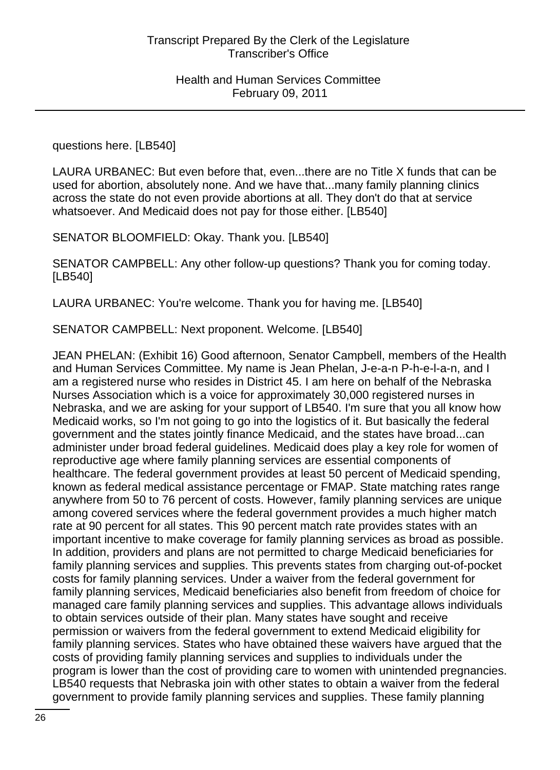questions here. [LB540]

LAURA URBANEC: But even before that, even...there are no Title X funds that can be used for abortion, absolutely none. And we have that...many family planning clinics across the state do not even provide abortions at all. They don't do that at service whatsoever. And Medicaid does not pay for those either. [LB540]

SENATOR BLOOMFIELD: Okay. Thank you. [LB540]

SENATOR CAMPBELL: Any other follow-up questions? Thank you for coming today. [LB540]

LAURA URBANEC: You're welcome. Thank you for having me. [LB540]

SENATOR CAMPBELL: Next proponent. Welcome. [LB540]

JEAN PHELAN: (Exhibit 16) Good afternoon, Senator Campbell, members of the Health and Human Services Committee. My name is Jean Phelan, J-e-a-n P-h-e-l-a-n, and I am a registered nurse who resides in District 45. I am here on behalf of the Nebraska Nurses Association which is a voice for approximately 30,000 registered nurses in Nebraska, and we are asking for your support of LB540. I'm sure that you all know how Medicaid works, so I'm not going to go into the logistics of it. But basically the federal government and the states jointly finance Medicaid, and the states have broad...can administer under broad federal guidelines. Medicaid does play a key role for women of reproductive age where family planning services are essential components of healthcare. The federal government provides at least 50 percent of Medicaid spending, known as federal medical assistance percentage or FMAP. State matching rates range anywhere from 50 to 76 percent of costs. However, family planning services are unique among covered services where the federal government provides a much higher match rate at 90 percent for all states. This 90 percent match rate provides states with an important incentive to make coverage for family planning services as broad as possible. In addition, providers and plans are not permitted to charge Medicaid beneficiaries for family planning services and supplies. This prevents states from charging out-of-pocket costs for family planning services. Under a waiver from the federal government for family planning services, Medicaid beneficiaries also benefit from freedom of choice for managed care family planning services and supplies. This advantage allows individuals to obtain services outside of their plan. Many states have sought and receive permission or waivers from the federal government to extend Medicaid eligibility for family planning services. States who have obtained these waivers have argued that the costs of providing family planning services and supplies to individuals under the program is lower than the cost of providing care to women with unintended pregnancies. LB540 requests that Nebraska join with other states to obtain a waiver from the federal government to provide family planning services and supplies. These family planning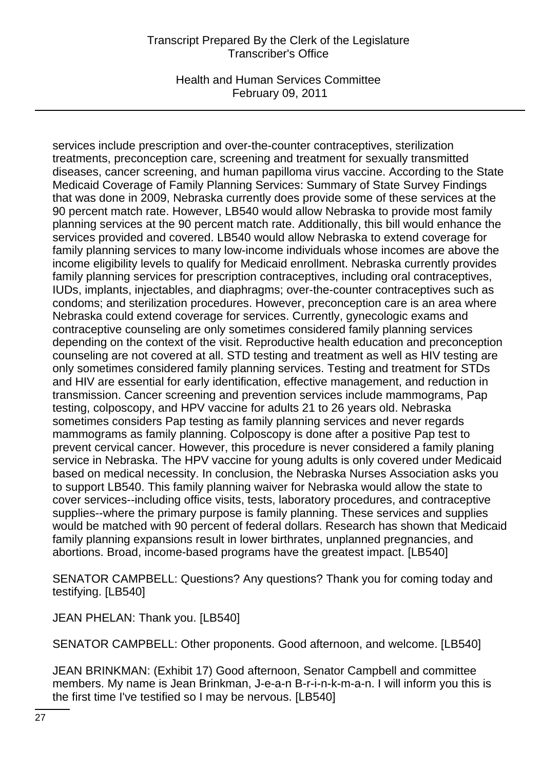Health and Human Services Committee February 09, 2011

services include prescription and over-the-counter contraceptives, sterilization treatments, preconception care, screening and treatment for sexually transmitted diseases, cancer screening, and human papilloma virus vaccine. According to the State Medicaid Coverage of Family Planning Services: Summary of State Survey Findings that was done in 2009, Nebraska currently does provide some of these services at the 90 percent match rate. However, LB540 would allow Nebraska to provide most family planning services at the 90 percent match rate. Additionally, this bill would enhance the services provided and covered. LB540 would allow Nebraska to extend coverage for family planning services to many low-income individuals whose incomes are above the income eligibility levels to qualify for Medicaid enrollment. Nebraska currently provides family planning services for prescription contraceptives, including oral contraceptives, IUDs, implants, injectables, and diaphragms; over-the-counter contraceptives such as condoms; and sterilization procedures. However, preconception care is an area where Nebraska could extend coverage for services. Currently, gynecologic exams and contraceptive counseling are only sometimes considered family planning services depending on the context of the visit. Reproductive health education and preconception counseling are not covered at all. STD testing and treatment as well as HIV testing are only sometimes considered family planning services. Testing and treatment for STDs and HIV are essential for early identification, effective management, and reduction in transmission. Cancer screening and prevention services include mammograms, Pap testing, colposcopy, and HPV vaccine for adults 21 to 26 years old. Nebraska sometimes considers Pap testing as family planning services and never regards mammograms as family planning. Colposcopy is done after a positive Pap test to prevent cervical cancer. However, this procedure is never considered a family planing service in Nebraska. The HPV vaccine for young adults is only covered under Medicaid based on medical necessity. In conclusion, the Nebraska Nurses Association asks you to support LB540. This family planning waiver for Nebraska would allow the state to cover services--including office visits, tests, laboratory procedures, and contraceptive supplies--where the primary purpose is family planning. These services and supplies would be matched with 90 percent of federal dollars. Research has shown that Medicaid family planning expansions result in lower birthrates, unplanned pregnancies, and abortions. Broad, income-based programs have the greatest impact. [LB540]

SENATOR CAMPBELL: Questions? Any questions? Thank you for coming today and testifying. [LB540]

JEAN PHELAN: Thank you. [LB540]

SENATOR CAMPBELL: Other proponents. Good afternoon, and welcome. [LB540]

JEAN BRINKMAN: (Exhibit 17) Good afternoon, Senator Campbell and committee members. My name is Jean Brinkman, J-e-a-n B-r-i-n-k-m-a-n. I will inform you this is the first time I've testified so I may be nervous. [LB540]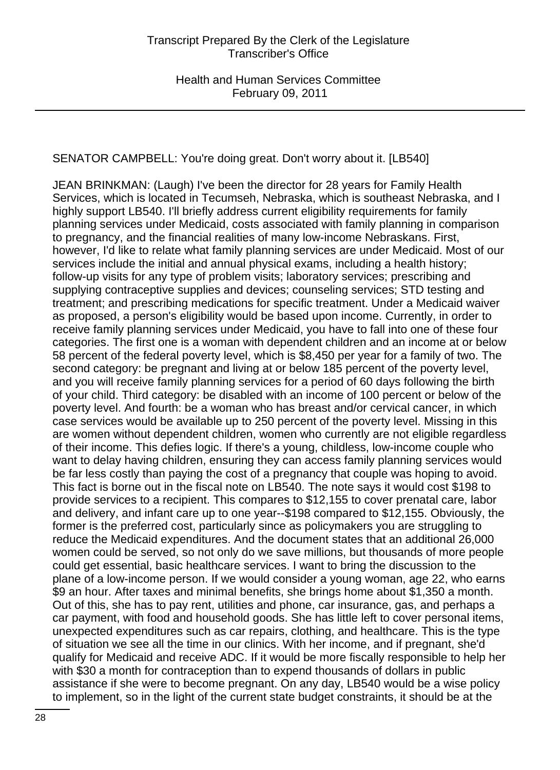SENATOR CAMPBELL: You're doing great. Don't worry about it. [LB540]

JEAN BRINKMAN: (Laugh) I've been the director for 28 years for Family Health Services, which is located in Tecumseh, Nebraska, which is southeast Nebraska, and I highly support LB540. I'll briefly address current eligibility requirements for family planning services under Medicaid, costs associated with family planning in comparison to pregnancy, and the financial realities of many low-income Nebraskans. First, however, I'd like to relate what family planning services are under Medicaid. Most of our services include the initial and annual physical exams, including a health history; follow-up visits for any type of problem visits; laboratory services; prescribing and supplying contraceptive supplies and devices; counseling services; STD testing and treatment; and prescribing medications for specific treatment. Under a Medicaid waiver as proposed, a person's eligibility would be based upon income. Currently, in order to receive family planning services under Medicaid, you have to fall into one of these four categories. The first one is a woman with dependent children and an income at or below 58 percent of the federal poverty level, which is \$8,450 per year for a family of two. The second category: be pregnant and living at or below 185 percent of the poverty level, and you will receive family planning services for a period of 60 days following the birth of your child. Third category: be disabled with an income of 100 percent or below of the poverty level. And fourth: be a woman who has breast and/or cervical cancer, in which case services would be available up to 250 percent of the poverty level. Missing in this are women without dependent children, women who currently are not eligible regardless of their income. This defies logic. If there's a young, childless, low-income couple who want to delay having children, ensuring they can access family planning services would be far less costly than paying the cost of a pregnancy that couple was hoping to avoid. This fact is borne out in the fiscal note on LB540. The note says it would cost \$198 to provide services to a recipient. This compares to \$12,155 to cover prenatal care, labor and delivery, and infant care up to one year--\$198 compared to \$12,155. Obviously, the former is the preferred cost, particularly since as policymakers you are struggling to reduce the Medicaid expenditures. And the document states that an additional 26,000 women could be served, so not only do we save millions, but thousands of more people could get essential, basic healthcare services. I want to bring the discussion to the plane of a low-income person. If we would consider a young woman, age 22, who earns \$9 an hour. After taxes and minimal benefits, she brings home about \$1,350 a month. Out of this, she has to pay rent, utilities and phone, car insurance, gas, and perhaps a car payment, with food and household goods. She has little left to cover personal items, unexpected expenditures such as car repairs, clothing, and healthcare. This is the type of situation we see all the time in our clinics. With her income, and if pregnant, she'd qualify for Medicaid and receive ADC. If it would be more fiscally responsible to help her with \$30 a month for contraception than to expend thousands of dollars in public assistance if she were to become pregnant. On any day, LB540 would be a wise policy to implement, so in the light of the current state budget constraints, it should be at the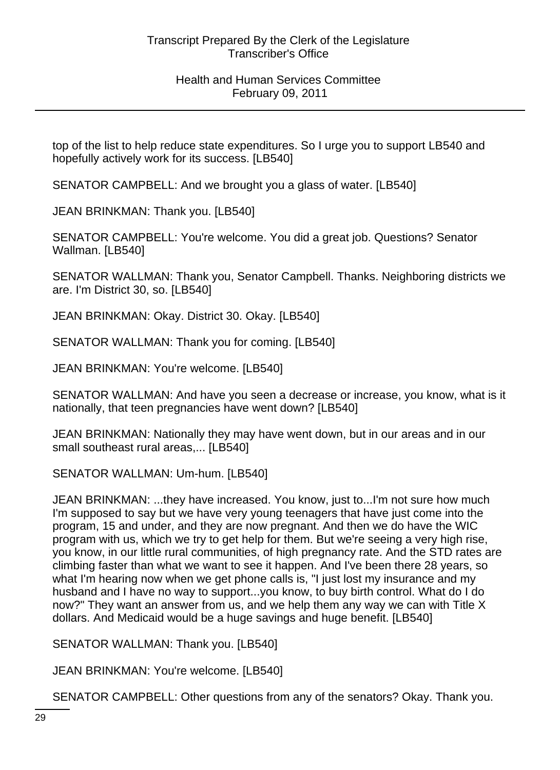top of the list to help reduce state expenditures. So I urge you to support LB540 and hopefully actively work for its success. [LB540]

SENATOR CAMPBELL: And we brought you a glass of water. [LB540]

JEAN BRINKMAN: Thank you. [LB540]

SENATOR CAMPBELL: You're welcome. You did a great job. Questions? Senator Wallman. [LB540]

SENATOR WALLMAN: Thank you, Senator Campbell. Thanks. Neighboring districts we are. I'm District 30, so. [LB540]

JEAN BRINKMAN: Okay. District 30. Okay. [LB540]

SENATOR WALLMAN: Thank you for coming. [LB540]

JEAN BRINKMAN: You're welcome. [LB540]

SENATOR WALLMAN: And have you seen a decrease or increase, you know, what is it nationally, that teen pregnancies have went down? [LB540]

JEAN BRINKMAN: Nationally they may have went down, but in our areas and in our small southeast rural areas,... [LB540]

SENATOR WALLMAN: Um-hum. [LB540]

JEAN BRINKMAN: ...they have increased. You know, just to...I'm not sure how much I'm supposed to say but we have very young teenagers that have just come into the program, 15 and under, and they are now pregnant. And then we do have the WIC program with us, which we try to get help for them. But we're seeing a very high rise, you know, in our little rural communities, of high pregnancy rate. And the STD rates are climbing faster than what we want to see it happen. And I've been there 28 years, so what I'm hearing now when we get phone calls is, "I just lost my insurance and my husband and I have no way to support...you know, to buy birth control. What do I do now?" They want an answer from us, and we help them any way we can with Title X dollars. And Medicaid would be a huge savings and huge benefit. [LB540]

SENATOR WALLMAN: Thank you. [LB540]

JEAN BRINKMAN: You're welcome. [LB540]

SENATOR CAMPBELL: Other questions from any of the senators? Okay. Thank you.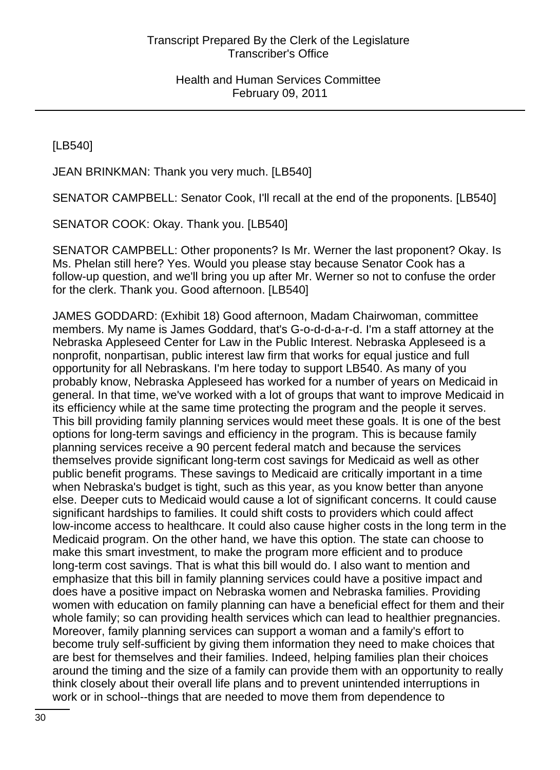[LB540]

JEAN BRINKMAN: Thank you very much. [LB540]

SENATOR CAMPBELL: Senator Cook, I'll recall at the end of the proponents. [LB540]

SENATOR COOK: Okay. Thank you. [LB540]

SENATOR CAMPBELL: Other proponents? Is Mr. Werner the last proponent? Okay. Is Ms. Phelan still here? Yes. Would you please stay because Senator Cook has a follow-up question, and we'll bring you up after Mr. Werner so not to confuse the order for the clerk. Thank you. Good afternoon. [LB540]

JAMES GODDARD: (Exhibit 18) Good afternoon, Madam Chairwoman, committee members. My name is James Goddard, that's G-o-d-d-a-r-d. I'm a staff attorney at the Nebraska Appleseed Center for Law in the Public Interest. Nebraska Appleseed is a nonprofit, nonpartisan, public interest law firm that works for equal justice and full opportunity for all Nebraskans. I'm here today to support LB540. As many of you probably know, Nebraska Appleseed has worked for a number of years on Medicaid in general. In that time, we've worked with a lot of groups that want to improve Medicaid in its efficiency while at the same time protecting the program and the people it serves. This bill providing family planning services would meet these goals. It is one of the best options for long-term savings and efficiency in the program. This is because family planning services receive a 90 percent federal match and because the services themselves provide significant long-term cost savings for Medicaid as well as other public benefit programs. These savings to Medicaid are critically important in a time when Nebraska's budget is tight, such as this year, as you know better than anyone else. Deeper cuts to Medicaid would cause a lot of significant concerns. It could cause significant hardships to families. It could shift costs to providers which could affect low-income access to healthcare. It could also cause higher costs in the long term in the Medicaid program. On the other hand, we have this option. The state can choose to make this smart investment, to make the program more efficient and to produce long-term cost savings. That is what this bill would do. I also want to mention and emphasize that this bill in family planning services could have a positive impact and does have a positive impact on Nebraska women and Nebraska families. Providing women with education on family planning can have a beneficial effect for them and their whole family; so can providing health services which can lead to healthier pregnancies. Moreover, family planning services can support a woman and a family's effort to become truly self-sufficient by giving them information they need to make choices that are best for themselves and their families. Indeed, helping families plan their choices around the timing and the size of a family can provide them with an opportunity to really think closely about their overall life plans and to prevent unintended interruptions in work or in school--things that are needed to move them from dependence to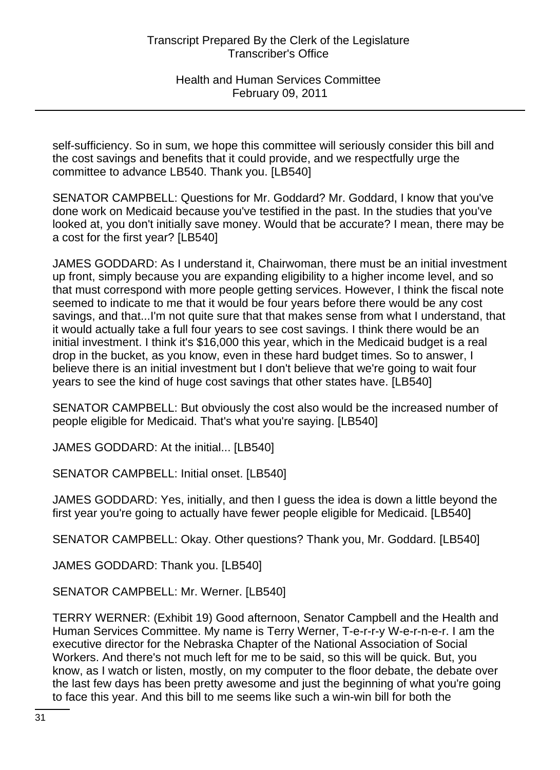self-sufficiency. So in sum, we hope this committee will seriously consider this bill and the cost savings and benefits that it could provide, and we respectfully urge the committee to advance LB540. Thank you. [LB540]

SENATOR CAMPBELL: Questions for Mr. Goddard? Mr. Goddard, I know that you've done work on Medicaid because you've testified in the past. In the studies that you've looked at, you don't initially save money. Would that be accurate? I mean, there may be a cost for the first year? [LB540]

JAMES GODDARD: As I understand it, Chairwoman, there must be an initial investment up front, simply because you are expanding eligibility to a higher income level, and so that must correspond with more people getting services. However, I think the fiscal note seemed to indicate to me that it would be four years before there would be any cost savings, and that...I'm not quite sure that that makes sense from what I understand, that it would actually take a full four years to see cost savings. I think there would be an initial investment. I think it's \$16,000 this year, which in the Medicaid budget is a real drop in the bucket, as you know, even in these hard budget times. So to answer, I believe there is an initial investment but I don't believe that we're going to wait four years to see the kind of huge cost savings that other states have. [LB540]

SENATOR CAMPBELL: But obviously the cost also would be the increased number of people eligible for Medicaid. That's what you're saying. [LB540]

JAMES GODDARD: At the initial... [LB540]

SENATOR CAMPBELL: Initial onset. [LB540]

JAMES GODDARD: Yes, initially, and then I guess the idea is down a little beyond the first year you're going to actually have fewer people eligible for Medicaid. [LB540]

SENATOR CAMPBELL: Okay. Other questions? Thank you, Mr. Goddard. [LB540]

JAMES GODDARD: Thank you. [LB540]

SENATOR CAMPBELL: Mr. Werner. [LB540]

TERRY WERNER: (Exhibit 19) Good afternoon, Senator Campbell and the Health and Human Services Committee. My name is Terry Werner, T-e-r-r-y W-e-r-n-e-r. I am the executive director for the Nebraska Chapter of the National Association of Social Workers. And there's not much left for me to be said, so this will be quick. But, you know, as I watch or listen, mostly, on my computer to the floor debate, the debate over the last few days has been pretty awesome and just the beginning of what you're going to face this year. And this bill to me seems like such a win-win bill for both the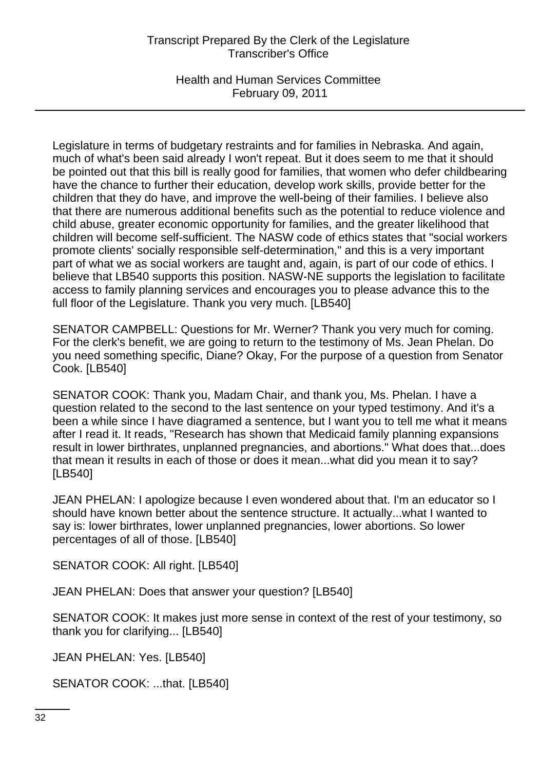Health and Human Services Committee February 09, 2011

Legislature in terms of budgetary restraints and for families in Nebraska. And again, much of what's been said already I won't repeat. But it does seem to me that it should be pointed out that this bill is really good for families, that women who defer childbearing have the chance to further their education, develop work skills, provide better for the children that they do have, and improve the well-being of their families. I believe also that there are numerous additional benefits such as the potential to reduce violence and child abuse, greater economic opportunity for families, and the greater likelihood that children will become self-sufficient. The NASW code of ethics states that "social workers promote clients' socially responsible self-determination," and this is a very important part of what we as social workers are taught and, again, is part of our code of ethics. I believe that LB540 supports this position. NASW-NE supports the legislation to facilitate access to family planning services and encourages you to please advance this to the full floor of the Legislature. Thank you very much. [LB540]

SENATOR CAMPBELL: Questions for Mr. Werner? Thank you very much for coming. For the clerk's benefit, we are going to return to the testimony of Ms. Jean Phelan. Do you need something specific, Diane? Okay, For the purpose of a question from Senator Cook. [LB540]

SENATOR COOK: Thank you, Madam Chair, and thank you, Ms. Phelan. I have a question related to the second to the last sentence on your typed testimony. And it's a been a while since I have diagramed a sentence, but I want you to tell me what it means after I read it. It reads, "Research has shown that Medicaid family planning expansions result in lower birthrates, unplanned pregnancies, and abortions." What does that...does that mean it results in each of those or does it mean...what did you mean it to say? [LB540]

JEAN PHELAN: I apologize because I even wondered about that. I'm an educator so I should have known better about the sentence structure. It actually...what I wanted to say is: lower birthrates, lower unplanned pregnancies, lower abortions. So lower percentages of all of those. [LB540]

SENATOR COOK: All right. [LB540]

JEAN PHELAN: Does that answer your question? [LB540]

SENATOR COOK: It makes just more sense in context of the rest of your testimony, so thank you for clarifying... [LB540]

JEAN PHELAN: Yes. [LB540]

SENATOR COOK: ...that. [LB540]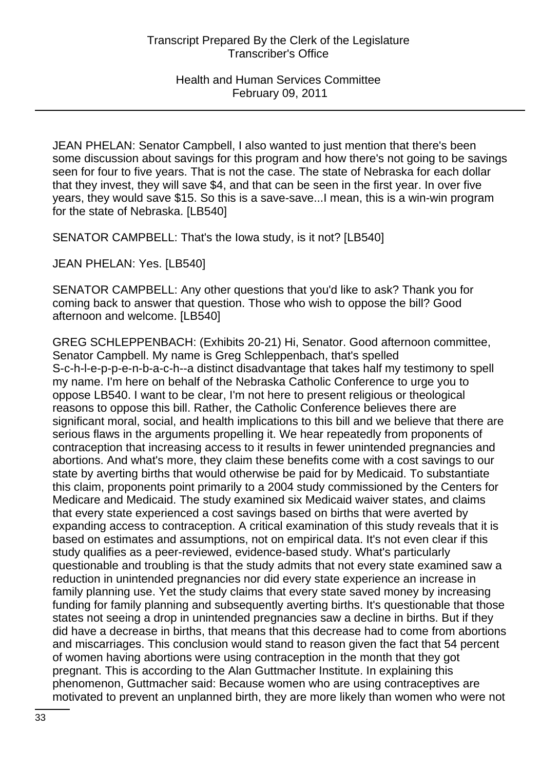JEAN PHELAN: Senator Campbell, I also wanted to just mention that there's been some discussion about savings for this program and how there's not going to be savings seen for four to five years. That is not the case. The state of Nebraska for each dollar that they invest, they will save \$4, and that can be seen in the first year. In over five years, they would save \$15. So this is a save-save...I mean, this is a win-win program for the state of Nebraska. [LB540]

SENATOR CAMPBELL: That's the Iowa study, is it not? [LB540]

JEAN PHELAN: Yes. [LB540]

SENATOR CAMPBELL: Any other questions that you'd like to ask? Thank you for coming back to answer that question. Those who wish to oppose the bill? Good afternoon and welcome. [LB540]

GREG SCHLEPPENBACH: (Exhibits 20-21) Hi, Senator. Good afternoon committee, Senator Campbell. My name is Greg Schleppenbach, that's spelled S-c-h-l-e-p-p-e-n-b-a-c-h--a distinct disadvantage that takes half my testimony to spell my name. I'm here on behalf of the Nebraska Catholic Conference to urge you to oppose LB540. I want to be clear, I'm not here to present religious or theological reasons to oppose this bill. Rather, the Catholic Conference believes there are significant moral, social, and health implications to this bill and we believe that there are serious flaws in the arguments propelling it. We hear repeatedly from proponents of contraception that increasing access to it results in fewer unintended pregnancies and abortions. And what's more, they claim these benefits come with a cost savings to our state by averting births that would otherwise be paid for by Medicaid. To substantiate this claim, proponents point primarily to a 2004 study commissioned by the Centers for Medicare and Medicaid. The study examined six Medicaid waiver states, and claims that every state experienced a cost savings based on births that were averted by expanding access to contraception. A critical examination of this study reveals that it is based on estimates and assumptions, not on empirical data. It's not even clear if this study qualifies as a peer-reviewed, evidence-based study. What's particularly questionable and troubling is that the study admits that not every state examined saw a reduction in unintended pregnancies nor did every state experience an increase in family planning use. Yet the study claims that every state saved money by increasing funding for family planning and subsequently averting births. It's questionable that those states not seeing a drop in unintended pregnancies saw a decline in births. But if they did have a decrease in births, that means that this decrease had to come from abortions and miscarriages. This conclusion would stand to reason given the fact that 54 percent of women having abortions were using contraception in the month that they got pregnant. This is according to the Alan Guttmacher Institute. In explaining this phenomenon, Guttmacher said: Because women who are using contraceptives are motivated to prevent an unplanned birth, they are more likely than women who were not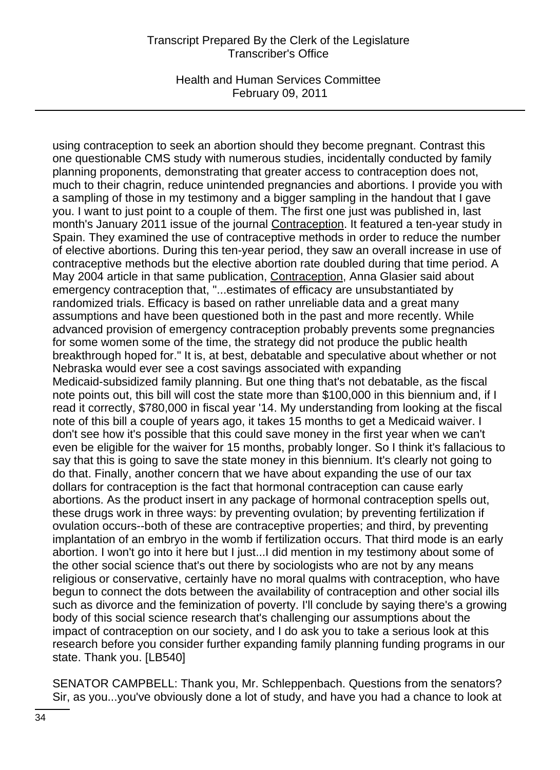Health and Human Services Committee February 09, 2011

using contraception to seek an abortion should they become pregnant. Contrast this one questionable CMS study with numerous studies, incidentally conducted by family planning proponents, demonstrating that greater access to contraception does not, much to their chagrin, reduce unintended pregnancies and abortions. I provide you with a sampling of those in my testimony and a bigger sampling in the handout that I gave you. I want to just point to a couple of them. The first one just was published in, last month's January 2011 issue of the journal Contraception. It featured a ten-year study in Spain. They examined the use of contraceptive methods in order to reduce the number of elective abortions. During this ten-year period, they saw an overall increase in use of contraceptive methods but the elective abortion rate doubled during that time period. A May 2004 article in that same publication, Contraception, Anna Glasier said about emergency contraception that, "...estimates of efficacy are unsubstantiated by randomized trials. Efficacy is based on rather unreliable data and a great many assumptions and have been questioned both in the past and more recently. While advanced provision of emergency contraception probably prevents some pregnancies for some women some of the time, the strategy did not produce the public health breakthrough hoped for." It is, at best, debatable and speculative about whether or not Nebraska would ever see a cost savings associated with expanding Medicaid-subsidized family planning. But one thing that's not debatable, as the fiscal note points out, this bill will cost the state more than \$100,000 in this biennium and, if I read it correctly, \$780,000 in fiscal year '14. My understanding from looking at the fiscal note of this bill a couple of years ago, it takes 15 months to get a Medicaid waiver. I don't see how it's possible that this could save money in the first year when we can't even be eligible for the waiver for 15 months, probably longer. So I think it's fallacious to say that this is going to save the state money in this biennium. It's clearly not going to do that. Finally, another concern that we have about expanding the use of our tax dollars for contraception is the fact that hormonal contraception can cause early abortions. As the product insert in any package of hormonal contraception spells out, these drugs work in three ways: by preventing ovulation; by preventing fertilization if ovulation occurs--both of these are contraceptive properties; and third, by preventing implantation of an embryo in the womb if fertilization occurs. That third mode is an early abortion. I won't go into it here but I just...I did mention in my testimony about some of the other social science that's out there by sociologists who are not by any means religious or conservative, certainly have no moral qualms with contraception, who have begun to connect the dots between the availability of contraception and other social ills such as divorce and the feminization of poverty. I'll conclude by saying there's a growing body of this social science research that's challenging our assumptions about the impact of contraception on our society, and I do ask you to take a serious look at this research before you consider further expanding family planning funding programs in our state. Thank you. [LB540]

SENATOR CAMPBELL: Thank you, Mr. Schleppenbach. Questions from the senators? Sir, as you...you've obviously done a lot of study, and have you had a chance to look at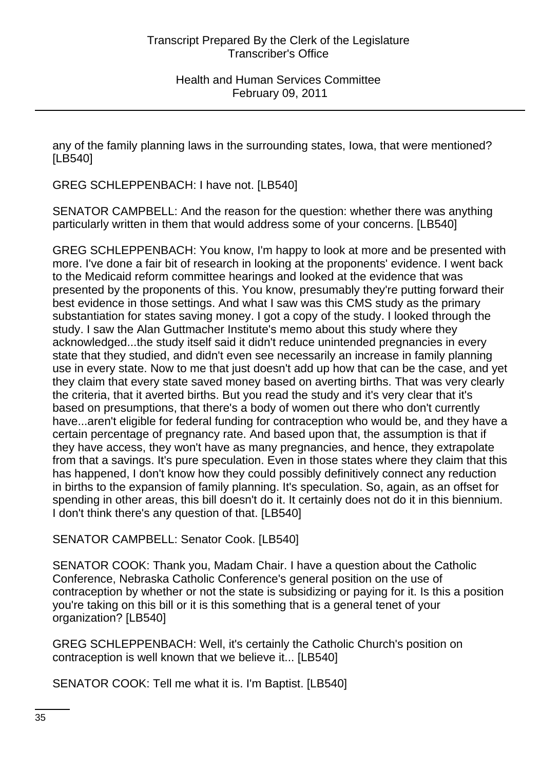any of the family planning laws in the surrounding states, Iowa, that were mentioned? [LB540]

GREG SCHLEPPENBACH: I have not. [LB540]

SENATOR CAMPBELL: And the reason for the question: whether there was anything particularly written in them that would address some of your concerns. [LB540]

GREG SCHLEPPENBACH: You know, I'm happy to look at more and be presented with more. I've done a fair bit of research in looking at the proponents' evidence. I went back to the Medicaid reform committee hearings and looked at the evidence that was presented by the proponents of this. You know, presumably they're putting forward their best evidence in those settings. And what I saw was this CMS study as the primary substantiation for states saving money. I got a copy of the study. I looked through the study. I saw the Alan Guttmacher Institute's memo about this study where they acknowledged...the study itself said it didn't reduce unintended pregnancies in every state that they studied, and didn't even see necessarily an increase in family planning use in every state. Now to me that just doesn't add up how that can be the case, and yet they claim that every state saved money based on averting births. That was very clearly the criteria, that it averted births. But you read the study and it's very clear that it's based on presumptions, that there's a body of women out there who don't currently have...aren't eligible for federal funding for contraception who would be, and they have a certain percentage of pregnancy rate. And based upon that, the assumption is that if they have access, they won't have as many pregnancies, and hence, they extrapolate from that a savings. It's pure speculation. Even in those states where they claim that this has happened, I don't know how they could possibly definitively connect any reduction in births to the expansion of family planning. It's speculation. So, again, as an offset for spending in other areas, this bill doesn't do it. It certainly does not do it in this biennium. I don't think there's any question of that. [LB540]

SENATOR CAMPBELL: Senator Cook. [LB540]

SENATOR COOK: Thank you, Madam Chair. I have a question about the Catholic Conference, Nebraska Catholic Conference's general position on the use of contraception by whether or not the state is subsidizing or paying for it. Is this a position you're taking on this bill or it is this something that is a general tenet of your organization? [LB540]

GREG SCHLEPPENBACH: Well, it's certainly the Catholic Church's position on contraception is well known that we believe it... [LB540]

SENATOR COOK: Tell me what it is. I'm Baptist. [LB540]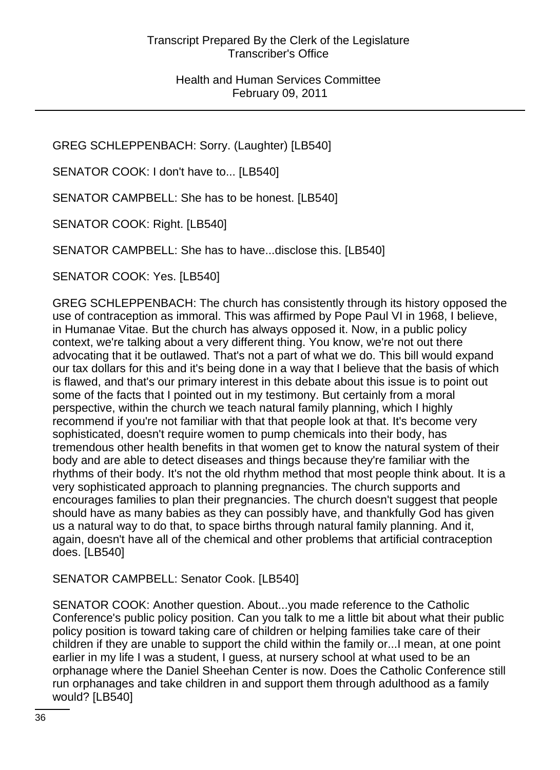GREG SCHLEPPENBACH: Sorry. (Laughter) [LB540]

SENATOR COOK: I don't have to... [LB540]

SENATOR CAMPBELL: She has to be honest. [LB540]

SENATOR COOK: Right. [LB540]

SENATOR CAMPBELL: She has to have...disclose this. [LB540]

SENATOR COOK: Yes. [LB540]

GREG SCHLEPPENBACH: The church has consistently through its history opposed the use of contraception as immoral. This was affirmed by Pope Paul VI in 1968, I believe, in Humanae Vitae. But the church has always opposed it. Now, in a public policy context, we're talking about a very different thing. You know, we're not out there advocating that it be outlawed. That's not a part of what we do. This bill would expand our tax dollars for this and it's being done in a way that I believe that the basis of which is flawed, and that's our primary interest in this debate about this issue is to point out some of the facts that I pointed out in my testimony. But certainly from a moral perspective, within the church we teach natural family planning, which I highly recommend if you're not familiar with that that people look at that. It's become very sophisticated, doesn't require women to pump chemicals into their body, has tremendous other health benefits in that women get to know the natural system of their body and are able to detect diseases and things because they're familiar with the rhythms of their body. It's not the old rhythm method that most people think about. It is a very sophisticated approach to planning pregnancies. The church supports and encourages families to plan their pregnancies. The church doesn't suggest that people should have as many babies as they can possibly have, and thankfully God has given us a natural way to do that, to space births through natural family planning. And it, again, doesn't have all of the chemical and other problems that artificial contraception does. [LB540]

#### SENATOR CAMPBELL: Senator Cook. [LB540]

SENATOR COOK: Another question. About...you made reference to the Catholic Conference's public policy position. Can you talk to me a little bit about what their public policy position is toward taking care of children or helping families take care of their children if they are unable to support the child within the family or...I mean, at one point earlier in my life I was a student, I guess, at nursery school at what used to be an orphanage where the Daniel Sheehan Center is now. Does the Catholic Conference still run orphanages and take children in and support them through adulthood as a family would? [LB540]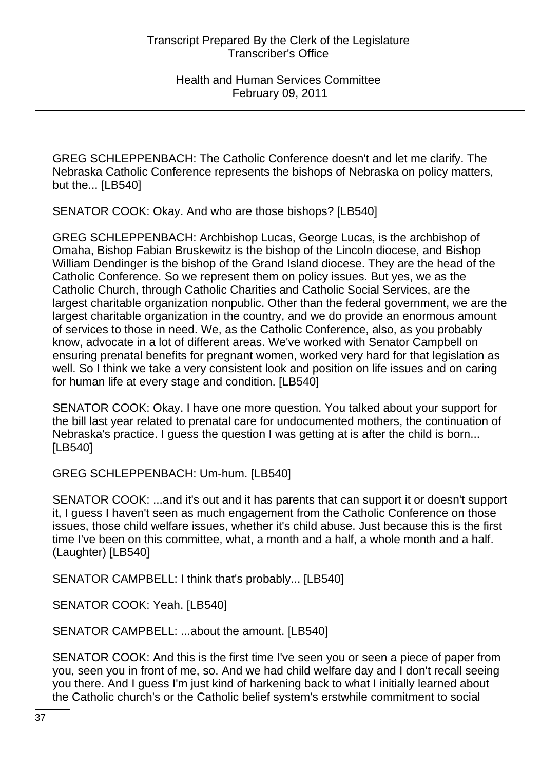GREG SCHLEPPENBACH: The Catholic Conference doesn't and let me clarify. The Nebraska Catholic Conference represents the bishops of Nebraska on policy matters, but the... [LB540]

SENATOR COOK: Okay. And who are those bishops? [LB540]

GREG SCHLEPPENBACH: Archbishop Lucas, George Lucas, is the archbishop of Omaha, Bishop Fabian Bruskewitz is the bishop of the Lincoln diocese, and Bishop William Dendinger is the bishop of the Grand Island diocese. They are the head of the Catholic Conference. So we represent them on policy issues. But yes, we as the Catholic Church, through Catholic Charities and Catholic Social Services, are the largest charitable organization nonpublic. Other than the federal government, we are the largest charitable organization in the country, and we do provide an enormous amount of services to those in need. We, as the Catholic Conference, also, as you probably know, advocate in a lot of different areas. We've worked with Senator Campbell on ensuring prenatal benefits for pregnant women, worked very hard for that legislation as well. So I think we take a very consistent look and position on life issues and on caring for human life at every stage and condition. [LB540]

SENATOR COOK: Okay. I have one more question. You talked about your support for the bill last year related to prenatal care for undocumented mothers, the continuation of Nebraska's practice. I guess the question I was getting at is after the child is born... [LB540]

GREG SCHLEPPENBACH: Um-hum. [LB540]

SENATOR COOK: ...and it's out and it has parents that can support it or doesn't support it, I guess I haven't seen as much engagement from the Catholic Conference on those issues, those child welfare issues, whether it's child abuse. Just because this is the first time I've been on this committee, what, a month and a half, a whole month and a half. (Laughter) [LB540]

SENATOR CAMPBELL: I think that's probably... [LB540]

SENATOR COOK: Yeah. [LB540]

SENATOR CAMPBELL: ...about the amount. [LB540]

SENATOR COOK: And this is the first time I've seen you or seen a piece of paper from you, seen you in front of me, so. And we had child welfare day and I don't recall seeing you there. And I guess I'm just kind of harkening back to what I initially learned about the Catholic church's or the Catholic belief system's erstwhile commitment to social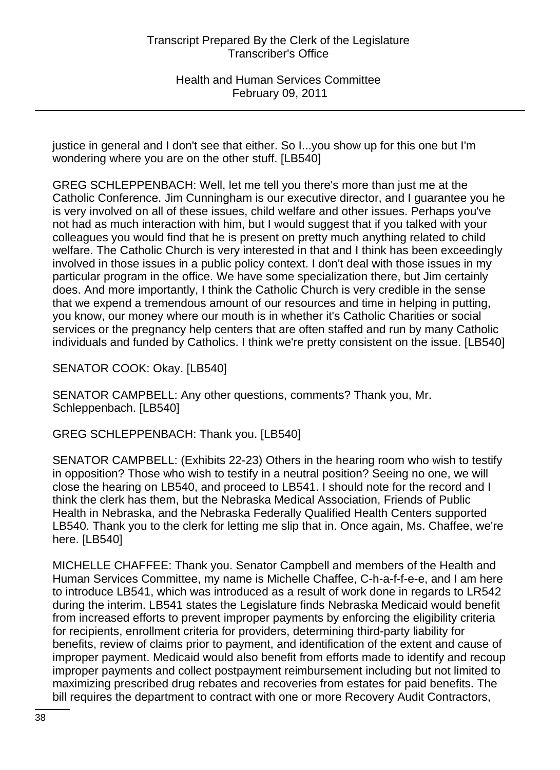justice in general and I don't see that either. So I...you show up for this one but I'm wondering where you are on the other stuff. [LB540]

GREG SCHLEPPENBACH: Well, let me tell you there's more than just me at the Catholic Conference. Jim Cunningham is our executive director, and I guarantee you he is very involved on all of these issues, child welfare and other issues. Perhaps you've not had as much interaction with him, but I would suggest that if you talked with your colleagues you would find that he is present on pretty much anything related to child welfare. The Catholic Church is very interested in that and I think has been exceedingly involved in those issues in a public policy context. I don't deal with those issues in my particular program in the office. We have some specialization there, but Jim certainly does. And more importantly, I think the Catholic Church is very credible in the sense that we expend a tremendous amount of our resources and time in helping in putting, you know, our money where our mouth is in whether it's Catholic Charities or social services or the pregnancy help centers that are often staffed and run by many Catholic individuals and funded by Catholics. I think we're pretty consistent on the issue. [LB540]

SENATOR COOK: Okay. [LB540]

SENATOR CAMPBELL: Any other questions, comments? Thank you, Mr. Schleppenbach. [LB540]

GREG SCHLEPPENBACH: Thank you. [LB540]

SENATOR CAMPBELL: (Exhibits 22-23) Others in the hearing room who wish to testify in opposition? Those who wish to testify in a neutral position? Seeing no one, we will close the hearing on LB540, and proceed to LB541. I should note for the record and I think the clerk has them, but the Nebraska Medical Association, Friends of Public Health in Nebraska, and the Nebraska Federally Qualified Health Centers supported LB540. Thank you to the clerk for letting me slip that in. Once again, Ms. Chaffee, we're here. [LB540]

MICHELLE CHAFFEE: Thank you. Senator Campbell and members of the Health and Human Services Committee, my name is Michelle Chaffee, C-h-a-f-f-e-e, and I am here to introduce LB541, which was introduced as a result of work done in regards to LR542 during the interim. LB541 states the Legislature finds Nebraska Medicaid would benefit from increased efforts to prevent improper payments by enforcing the eligibility criteria for recipients, enrollment criteria for providers, determining third-party liability for benefits, review of claims prior to payment, and identification of the extent and cause of improper payment. Medicaid would also benefit from efforts made to identify and recoup improper payments and collect postpayment reimbursement including but not limited to maximizing prescribed drug rebates and recoveries from estates for paid benefits. The bill requires the department to contract with one or more Recovery Audit Contractors,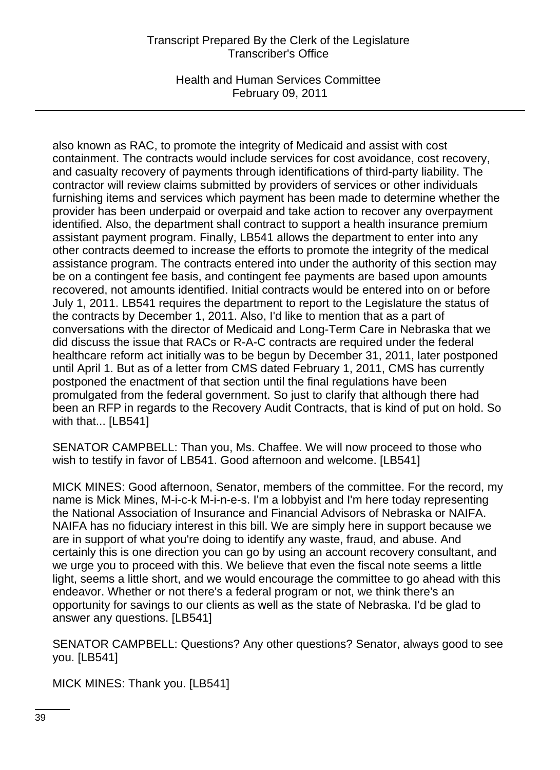Health and Human Services Committee February 09, 2011

also known as RAC, to promote the integrity of Medicaid and assist with cost containment. The contracts would include services for cost avoidance, cost recovery, and casualty recovery of payments through identifications of third-party liability. The contractor will review claims submitted by providers of services or other individuals furnishing items and services which payment has been made to determine whether the provider has been underpaid or overpaid and take action to recover any overpayment identified. Also, the department shall contract to support a health insurance premium assistant payment program. Finally, LB541 allows the department to enter into any other contracts deemed to increase the efforts to promote the integrity of the medical assistance program. The contracts entered into under the authority of this section may be on a contingent fee basis, and contingent fee payments are based upon amounts recovered, not amounts identified. Initial contracts would be entered into on or before July 1, 2011. LB541 requires the department to report to the Legislature the status of the contracts by December 1, 2011. Also, I'd like to mention that as a part of conversations with the director of Medicaid and Long-Term Care in Nebraska that we did discuss the issue that RACs or R-A-C contracts are required under the federal healthcare reform act initially was to be begun by December 31, 2011, later postponed until April 1. But as of a letter from CMS dated February 1, 2011, CMS has currently postponed the enactment of that section until the final regulations have been promulgated from the federal government. So just to clarify that although there had been an RFP in regards to the Recovery Audit Contracts, that is kind of put on hold. So with that... [LB541]

SENATOR CAMPBELL: Than you, Ms. Chaffee. We will now proceed to those who wish to testify in favor of LB541. Good afternoon and welcome. [LB541]

MICK MINES: Good afternoon, Senator, members of the committee. For the record, my name is Mick Mines, M-i-c-k M-i-n-e-s. I'm a lobbyist and I'm here today representing the National Association of Insurance and Financial Advisors of Nebraska or NAIFA. NAIFA has no fiduciary interest in this bill. We are simply here in support because we are in support of what you're doing to identify any waste, fraud, and abuse. And certainly this is one direction you can go by using an account recovery consultant, and we urge you to proceed with this. We believe that even the fiscal note seems a little light, seems a little short, and we would encourage the committee to go ahead with this endeavor. Whether or not there's a federal program or not, we think there's an opportunity for savings to our clients as well as the state of Nebraska. I'd be glad to answer any questions. [LB541]

SENATOR CAMPBELL: Questions? Any other questions? Senator, always good to see you. [LB541]

MICK MINES: Thank you. [LB541]